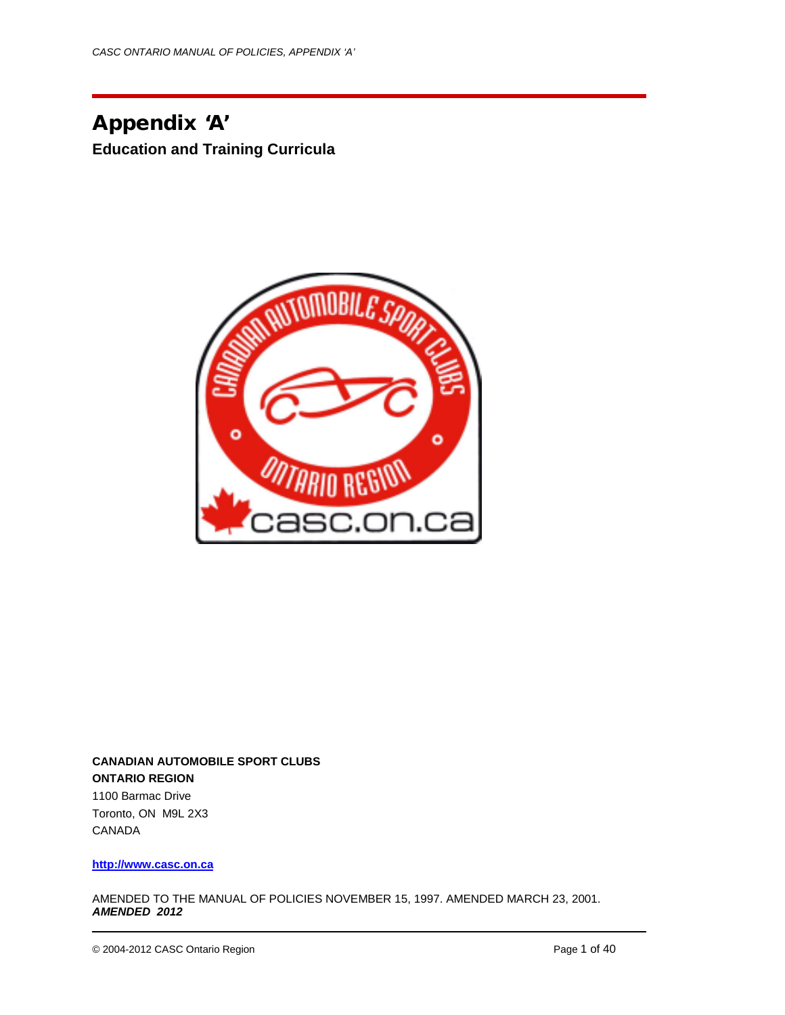Appendix 'A' **Education and Training Curricula**



**CANADIAN AUTOMOBILE SPORT CLUBS ONTARIO REGION** 1100 Barmac Drive Toronto, ON M9L 2X3 CANADA

**[http://www.casc.on.ca](http://www.casc.on.ca/)**

AMENDED TO THE MANUAL OF POLICIES NOVEMBER 15, 1997. AMENDED MARCH 23, 2001. *AMENDED 2012*

© 2004-2012 CASC Ontario Region **Page 1 of 40** Page 1 of 40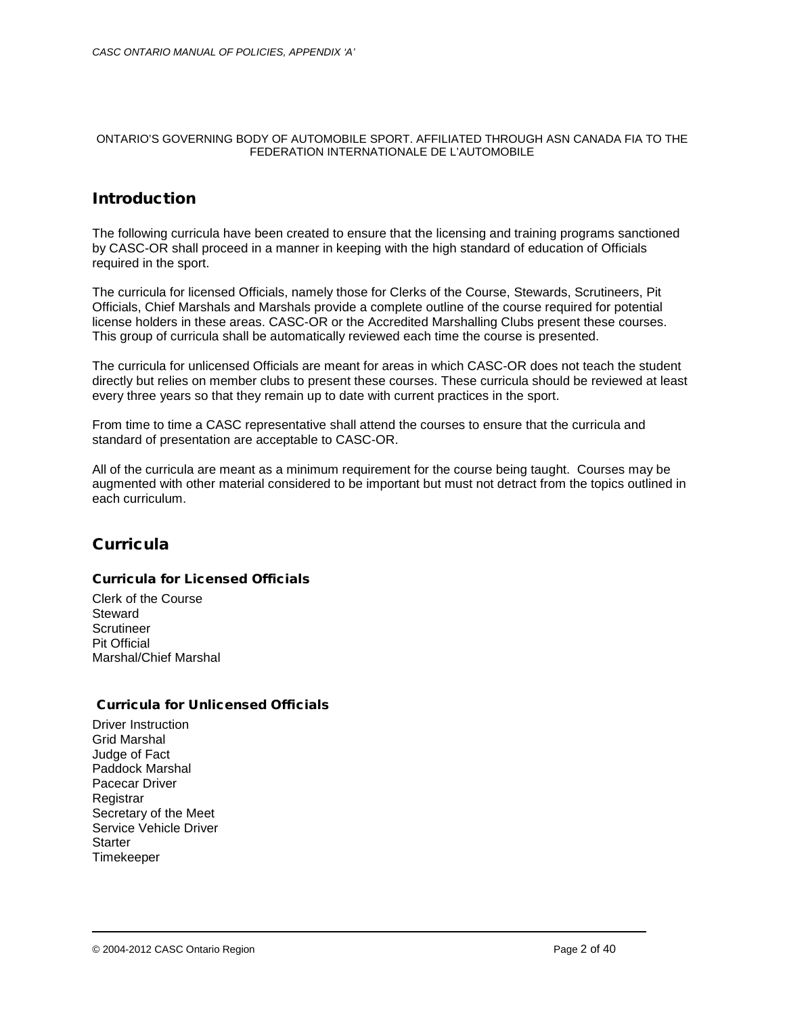#### ONTARIO'S GOVERNING BODY OF AUTOMOBILE SPORT. AFFILIATED THROUGH ASN CANADA FIA TO THE FEDERATION INTERNATIONALE DE L'AUTOMOBILE

# **Introduction**

The following curricula have been created to ensure that the licensing and training programs sanctioned by CASC-OR shall proceed in a manner in keeping with the high standard of education of Officials required in the sport.

The curricula for licensed Officials, namely those for Clerks of the Course, Stewards, Scrutineers, Pit Officials, Chief Marshals and Marshals provide a complete outline of the course required for potential license holders in these areas. CASC-OR or the Accredited Marshalling Clubs present these courses. This group of curricula shall be automatically reviewed each time the course is presented.

The curricula for unlicensed Officials are meant for areas in which CASC-OR does not teach the student directly but relies on member clubs to present these courses. These curricula should be reviewed at least every three years so that they remain up to date with current practices in the sport.

From time to time a CASC representative shall attend the courses to ensure that the curricula and standard of presentation are acceptable to CASC-OR.

All of the curricula are meant as a minimum requirement for the course being taught. Courses may be augmented with other material considered to be important but must not detract from the topics outlined in each curriculum.

# **Curricula**

## Curricula for Licensed Officials

Clerk of the Course **Steward** Scrutineer Pit Official Marshal/Chief Marshal

## Curricula for Unlicensed Officials

Driver Instruction Grid Marshal Judge of Fact Paddock Marshal Pacecar Driver Registrar Secretary of the Meet Service Vehicle Driver **Starter** Timekeeper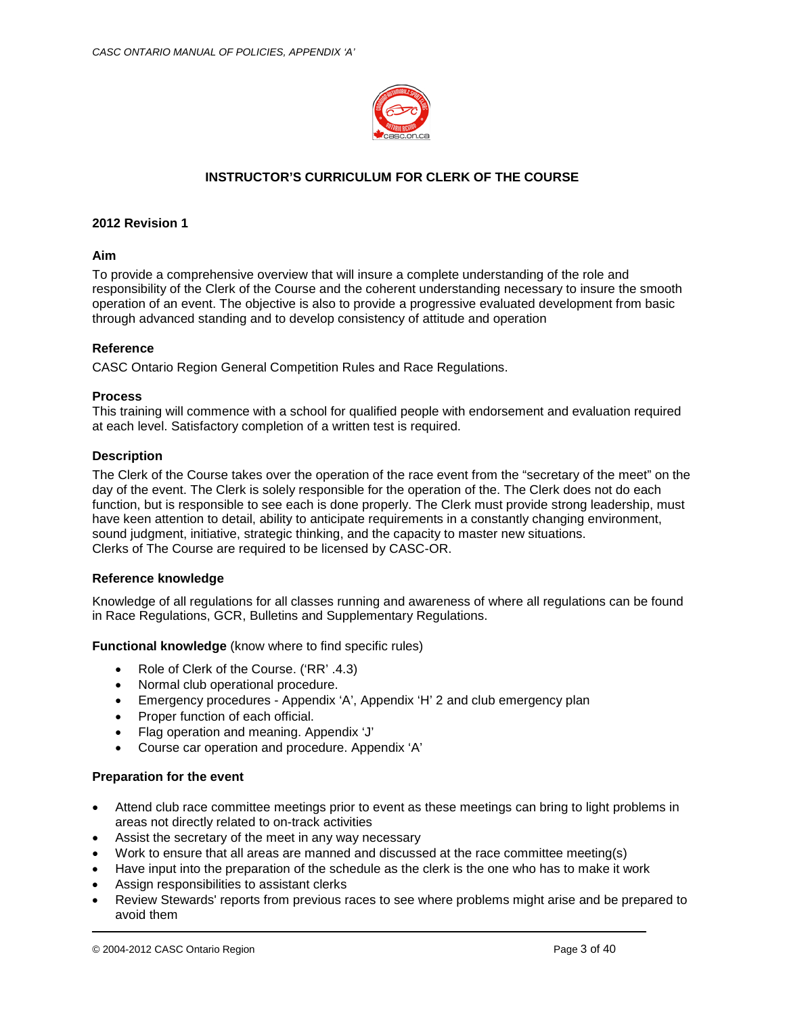

## **INSTRUCTOR'S CURRICULUM FOR CLERK OF THE COURSE**

## **2012 Revision 1**

#### **Aim**

To provide a comprehensive overview that will insure a complete understanding of the role and responsibility of the Clerk of the Course and the coherent understanding necessary to insure the smooth operation of an event. The objective is also to provide a progressive evaluated development from basic through advanced standing and to develop consistency of attitude and operation

## **Reference**

CASC Ontario Region General Competition Rules and Race Regulations.

#### **Process**

This training will commence with a school for qualified people with endorsement and evaluation required at each level. Satisfactory completion of a written test is required.

#### **Description**

The Clerk of the Course takes over the operation of the race event from the "secretary of the meet" on the day of the event. The Clerk is solely responsible for the operation of the. The Clerk does not do each function, but is responsible to see each is done properly. The Clerk must provide strong leadership, must have keen attention to detail, ability to anticipate requirements in a constantly changing environment, sound judgment, initiative, strategic thinking, and the capacity to master new situations. Clerks of The Course are required to be licensed by CASC-OR.

## **Reference knowledge**

Knowledge of all regulations for all classes running and awareness of where all regulations can be found in Race Regulations, GCR, Bulletins and Supplementary Regulations.

**Functional knowledge** (know where to find specific rules)

- Role of Clerk of the Course. ('RR' .4.3)
- Normal club operational procedure.
- Emergency procedures Appendix 'A', Appendix 'H' 2 and club emergency plan
- Proper function of each official.
- Flag operation and meaning. Appendix 'J'
- Course car operation and procedure. Appendix 'A'

#### **Preparation for the event**

- Attend club race committee meetings prior to event as these meetings can bring to light problems in areas not directly related to on-track activities
- Assist the secretary of the meet in any way necessary
- Work to ensure that all areas are manned and discussed at the race committee meeting(s)
- Have input into the preparation of the schedule as the clerk is the one who has to make it work
- Assign responsibilities to assistant clerks
- Review Stewards' reports from previous races to see where problems might arise and be prepared to avoid them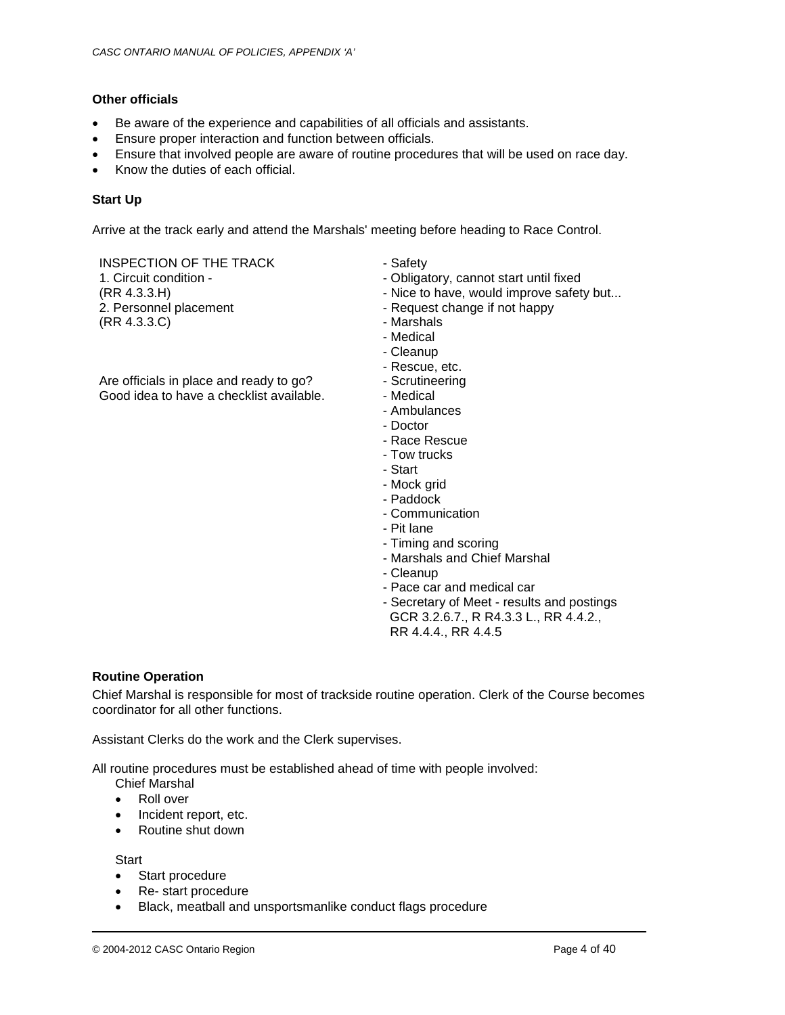## **Other officials**

- Be aware of the experience and capabilities of all officials and assistants.
- Ensure proper interaction and function between officials.
- Ensure that involved people are aware of routine procedures that will be used on race day.
- Know the duties of each official.

## **Start Up**

Arrive at the track early and attend the Marshals' meeting before heading to Race Control.

INSPECTION OF THE TRACK 1. Circuit condition - (RR 4.3.3.H) 2. Personnel placement (RR 4.3.3.C)

Are officials in place and ready to go? Good idea to have a checklist available.

- Safety
- Obligatory, cannot start until fixed
- Nice to have, would improve safety but...
- Request change if not happy
- Marshals
- Medical
- Cleanup
- Rescue, etc.
- 
- Medical
- Ambulances
- Doctor
- Race Rescue
- 
- 
- Mock grid
- 
- 
- 
- Timing and scoring
- 
- 
- Pace car and medical car
- Secretary of Meet results and postings GCR 3.2.6.7., R R4.3.3 L., RR 4.4.2., RR 4.4.4., RR 4.4.5

## **Routine Operation**

Chief Marshal is responsible for most of trackside routine operation. Clerk of the Course becomes coordinator for all other functions.

Assistant Clerks do the work and the Clerk supervises.

All routine procedures must be established ahead of time with people involved:

- Chief Marshal
- Roll over
- Incident report, etc.
- Routine shut down

**Start** 

- Start procedure
- Re- start procedure
- Black, meatball and unsportsmanlike conduct flags procedure
- Scrutineering
	-
	-
	-
	- Tow trucks
	- Start
	-
	- Paddock
	- Communication
	- Pit lane
	-
	- Marshals and Chief Marshal
	- Cleanup
	-
	-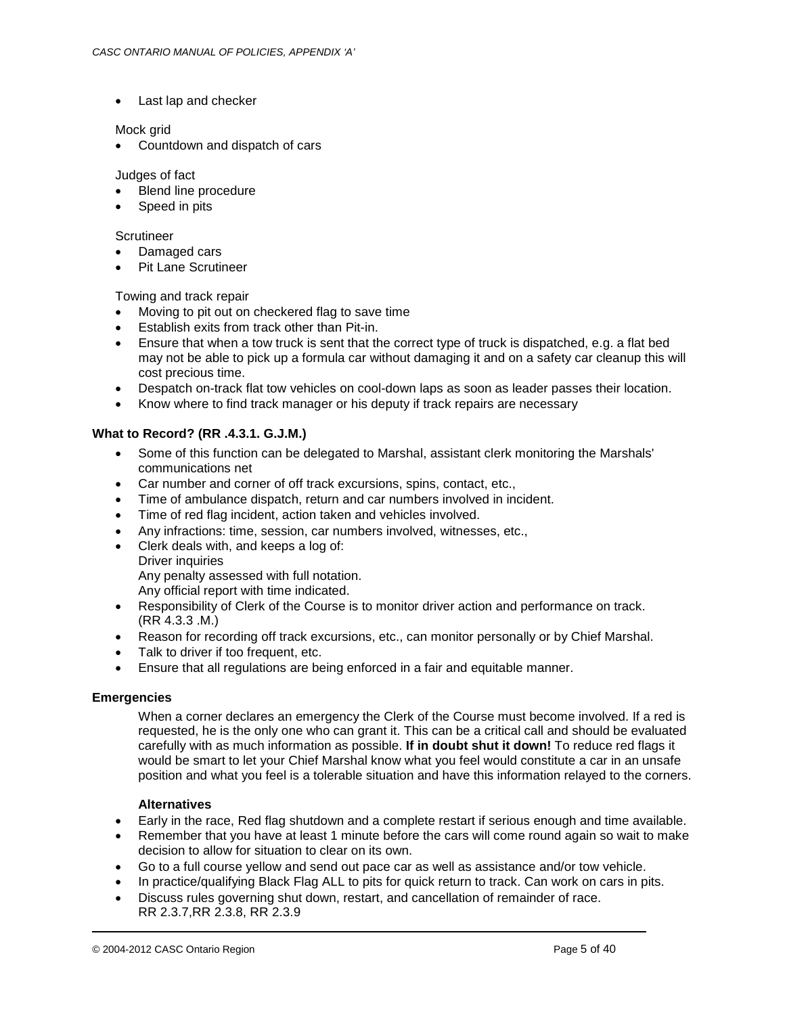• Last lap and checker

## Mock grid

• Countdown and dispatch of cars

## Judges of fact

- **Blend line procedure**
- Speed in pits

## **Scrutineer**

- Damaged cars
- Pit Lane Scrutineer

## Towing and track repair

- Moving to pit out on checkered flag to save time
- Establish exits from track other than Pit-in.
- Ensure that when a tow truck is sent that the correct type of truck is dispatched, e.g. a flat bed may not be able to pick up a formula car without damaging it and on a safety car cleanup this will cost precious time.
- Despatch on-track flat tow vehicles on cool-down laps as soon as leader passes their location.
- Know where to find track manager or his deputy if track repairs are necessary

## **What to Record? (RR .4.3.1. G.J.M.)**

- Some of this function can be delegated to Marshal, assistant clerk monitoring the Marshals' communications net
- Car number and corner of off track excursions, spins, contact, etc.,
- Time of ambulance dispatch, return and car numbers involved in incident.
- Time of red flag incident, action taken and vehicles involved.
- Any infractions: time, session, car numbers involved, witnesses, etc.,
- Clerk deals with, and keeps a log of:
- Driver inquiries Any penalty assessed with full notation. Any official report with time indicated.
- Responsibility of Clerk of the Course is to monitor driver action and performance on track. (RR 4.3.3 .M.)
- Reason for recording off track excursions, etc., can monitor personally or by Chief Marshal.
- Talk to driver if too frequent, etc.
- Ensure that all regulations are being enforced in a fair and equitable manner.

## **Emergencies**

When a corner declares an emergency the Clerk of the Course must become involved. If a red is requested, he is the only one who can grant it. This can be a critical call and should be evaluated carefully with as much information as possible. **If in doubt shut it down!** To reduce red flags it would be smart to let your Chief Marshal know what you feel would constitute a car in an unsafe position and what you feel is a tolerable situation and have this information relayed to the corners.

## **Alternatives**

- Early in the race, Red flag shutdown and a complete restart if serious enough and time available.
- Remember that you have at least 1 minute before the cars will come round again so wait to make decision to allow for situation to clear on its own.
- Go to a full course yellow and send out pace car as well as assistance and/or tow vehicle.
- In practice/qualifying Black Flag ALL to pits for quick return to track. Can work on cars in pits.
- Discuss rules governing shut down, restart, and cancellation of remainder of race. RR 2.3.7,RR 2.3.8, RR 2.3.9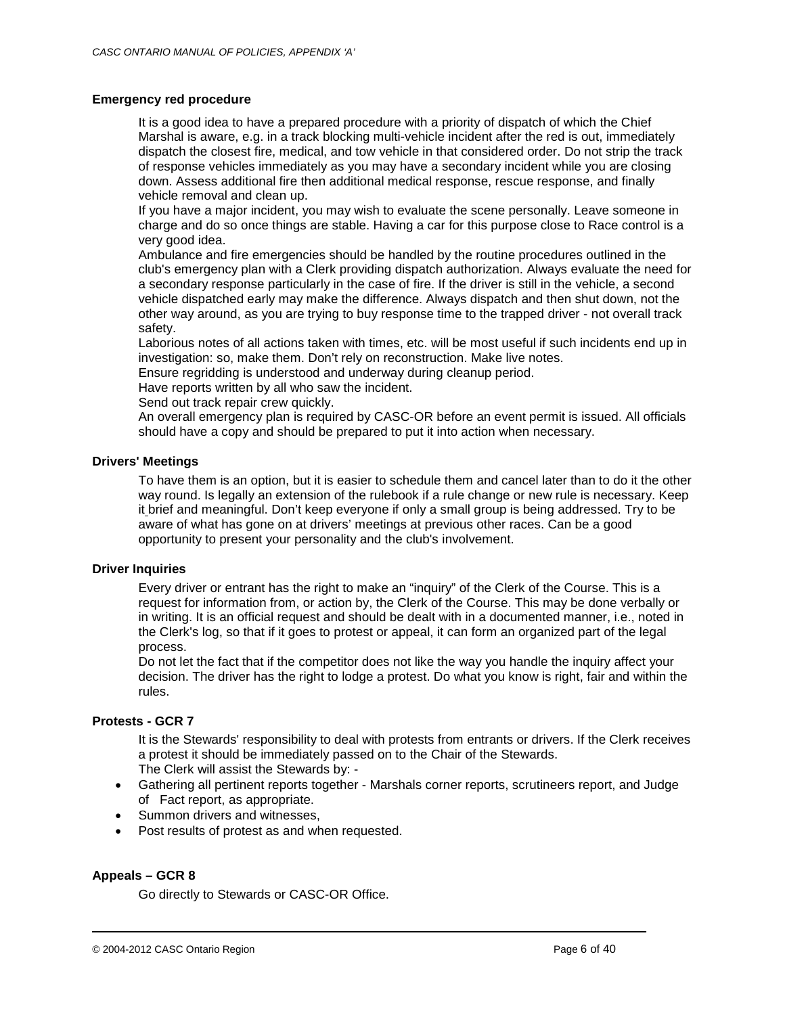## **Emergency red procedure**

It is a good idea to have a prepared procedure with a priority of dispatch of which the Chief Marshal is aware, e.g. in a track blocking multi-vehicle incident after the red is out, immediately dispatch the closest fire, medical, and tow vehicle in that considered order. Do not strip the track of response vehicles immediately as you may have a secondary incident while you are closing down. Assess additional fire then additional medical response, rescue response, and finally vehicle removal and clean up.

If you have a major incident, you may wish to evaluate the scene personally. Leave someone in charge and do so once things are stable. Having a car for this purpose close to Race control is a very good idea.

Ambulance and fire emergencies should be handled by the routine procedures outlined in the club's emergency plan with a Clerk providing dispatch authorization. Always evaluate the need for a secondary response particularly in the case of fire. If the driver is still in the vehicle, a second vehicle dispatched early may make the difference. Always dispatch and then shut down, not the other way around, as you are trying to buy response time to the trapped driver - not overall track safety.

Laborious notes of all actions taken with times, etc. will be most useful if such incidents end up in investigation: so, make them. Don't rely on reconstruction. Make live notes.

Ensure regridding is understood and underway during cleanup period.

Have reports written by all who saw the incident.

Send out track repair crew quickly.

An overall emergency plan is required by CASC-OR before an event permit is issued. All officials should have a copy and should be prepared to put it into action when necessary.

### **Drivers' Meetings**

To have them is an option, but it is easier to schedule them and cancel later than to do it the other way round. Is legally an extension of the rulebook if a rule change or new rule is necessary. Keep it brief and meaningful. Don't keep everyone if only a small group is being addressed. Try to be aware of what has gone on at drivers' meetings at previous other races. Can be a good opportunity to present your personality and the club's involvement.

### **Driver Inquiries**

Every driver or entrant has the right to make an "inquiry" of the Clerk of the Course. This is a request for information from, or action by, the Clerk of the Course. This may be done verbally or in writing. It is an official request and should be dealt with in a documented manner, i.e., noted in the Clerk's log, so that if it goes to protest or appeal, it can form an organized part of the legal process.

Do not let the fact that if the competitor does not like the way you handle the inquiry affect your decision. The driver has the right to lodge a protest. Do what you know is right, fair and within the rules.

#### **Protests - GCR 7**

It is the Stewards' responsibility to deal with protests from entrants or drivers. If the Clerk receives a protest it should be immediately passed on to the Chair of the Stewards. The Clerk will assist the Stewards by: -

- Gathering all pertinent reports together Marshals corner reports, scrutineers report, and Judge of Fact report, as appropriate.
- Summon drivers and witnesses.
- Post results of protest as and when requested.

## **Appeals – GCR 8**

Go directly to Stewards or CASC-OR Office.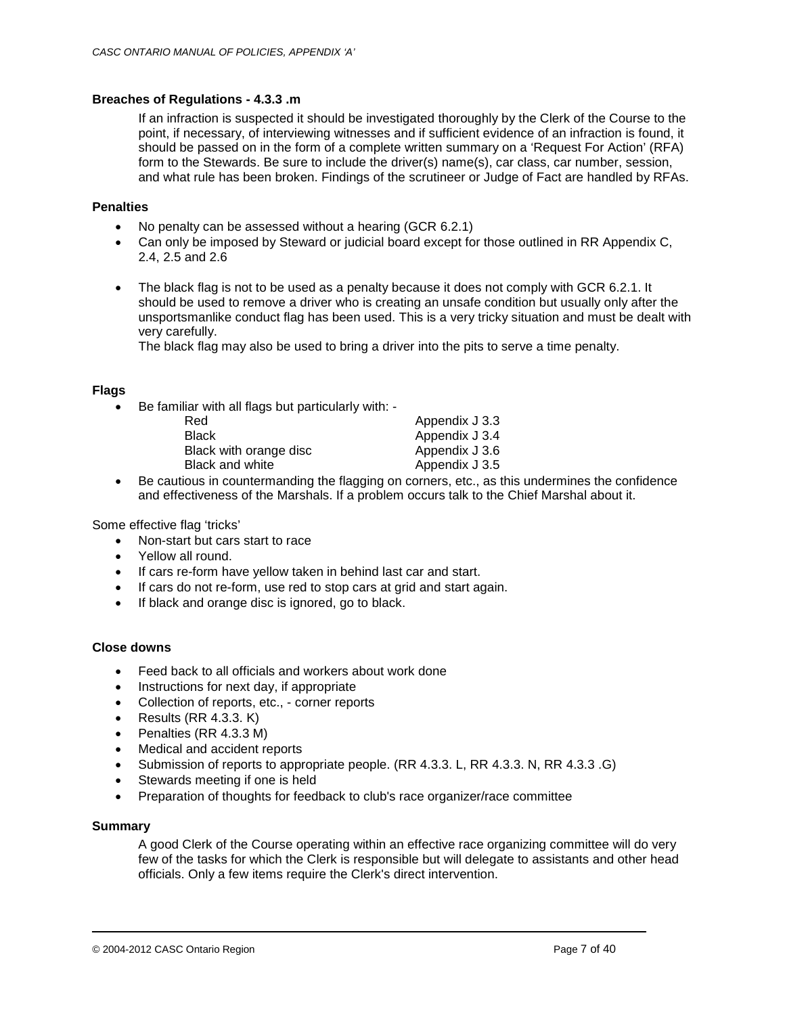## **Breaches of Regulations - 4.3.3 .m**

If an infraction is suspected it should be investigated thoroughly by the Clerk of the Course to the point, if necessary, of interviewing witnesses and if sufficient evidence of an infraction is found, it should be passed on in the form of a complete written summary on a 'Request For Action' (RFA) form to the Stewards. Be sure to include the driver(s) name(s), car class, car number, session, and what rule has been broken. Findings of the scrutineer or Judge of Fact are handled by RFAs.

## **Penalties**

- No penalty can be assessed without a hearing (GCR 6.2.1)
- Can only be imposed by Steward or judicial board except for those outlined in RR Appendix C, 2.4, 2.5 and 2.6
- The black flag is not to be used as a penalty because it does not comply with GCR 6.2.1. It should be used to remove a driver who is creating an unsafe condition but usually only after the unsportsmanlike conduct flag has been used. This is a very tricky situation and must be dealt with very carefully.

The black flag may also be used to bring a driver into the pits to serve a time penalty.

## **Flags**

• Be familiar with all flags but particularly with: -

| Appendix J 3.3 |
|----------------|
| Appendix J 3.4 |
| Appendix J 3.6 |
| Appendix J 3.5 |
|                |

• Be cautious in countermanding the flagging on corners, etc., as this undermines the confidence and effectiveness of the Marshals. If a problem occurs talk to the Chief Marshal about it.

Some effective flag 'tricks'

- Non-start but cars start to race
- Yellow all round.
- If cars re-form have yellow taken in behind last car and start.
- If cars do not re-form, use red to stop cars at grid and start again.
- If black and orange disc is ignored, go to black.

## **Close downs**

- Feed back to all officials and workers about work done
- Instructions for next day, if appropriate
- Collection of reports, etc., corner reports
- Results  $(RR 4.3.3. K)$
- Penalties (RR 4.3.3 M)
- Medical and accident reports
- Submission of reports to appropriate people. (RR 4.3.3. L, RR 4.3.3. N, RR 4.3.3 .G)
- Stewards meeting if one is held
- Preparation of thoughts for feedback to club's race organizer/race committee

## **Summary**

A good Clerk of the Course operating within an effective race organizing committee will do very few of the tasks for which the Clerk is responsible but will delegate to assistants and other head officials. Only a few items require the Clerk's direct intervention.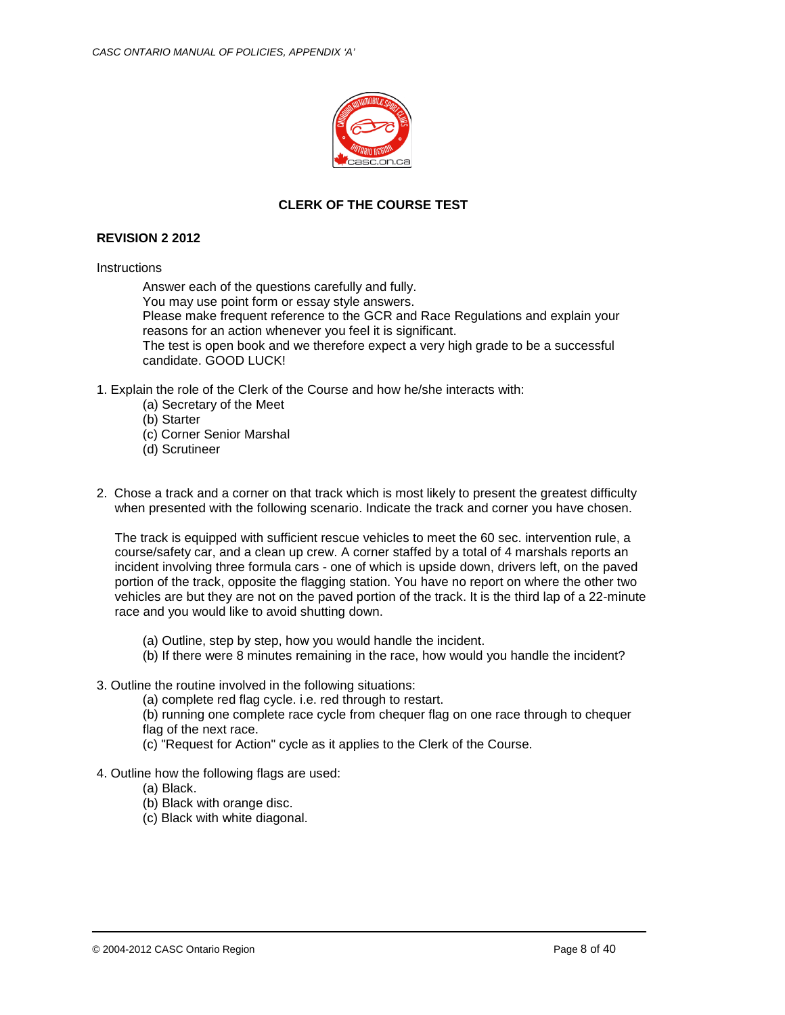

# **CLERK OF THE COURSE TEST**

## **REVISION 2 2012**

#### **Instructions**

Answer each of the questions carefully and fully.

You may use point form or essay style answers.

Please make frequent reference to the GCR and Race Regulations and explain your reasons for an action whenever you feel it is significant.

The test is open book and we therefore expect a very high grade to be a successful candidate. GOOD LUCK!

- 1. Explain the role of the Clerk of the Course and how he/she interacts with:
	- (a) Secretary of the Meet
	- (b) Starter
	- (c) Corner Senior Marshal
	- (d) Scrutineer
- 2. Chose a track and a corner on that track which is most likely to present the greatest difficulty when presented with the following scenario. Indicate the track and corner you have chosen.

The track is equipped with sufficient rescue vehicles to meet the 60 sec. intervention rule, a course/safety car, and a clean up crew. A corner staffed by a total of 4 marshals reports an incident involving three formula cars - one of which is upside down, drivers left, on the paved portion of the track, opposite the flagging station. You have no report on where the other two vehicles are but they are not on the paved portion of the track. It is the third lap of a 22-minute race and you would like to avoid shutting down.

- (a) Outline, step by step, how you would handle the incident.
- (b) If there were 8 minutes remaining in the race, how would you handle the incident?
- 3. Outline the routine involved in the following situations:

(a) complete red flag cycle. i.e. red through to restart.

(b) running one complete race cycle from chequer flag on one race through to chequer flag of the next race.

- (c) "Request for Action" cycle as it applies to the Clerk of the Course.
- 4. Outline how the following flags are used:
	- (a) Black.
	- (b) Black with orange disc.
	- (c) Black with white diagonal.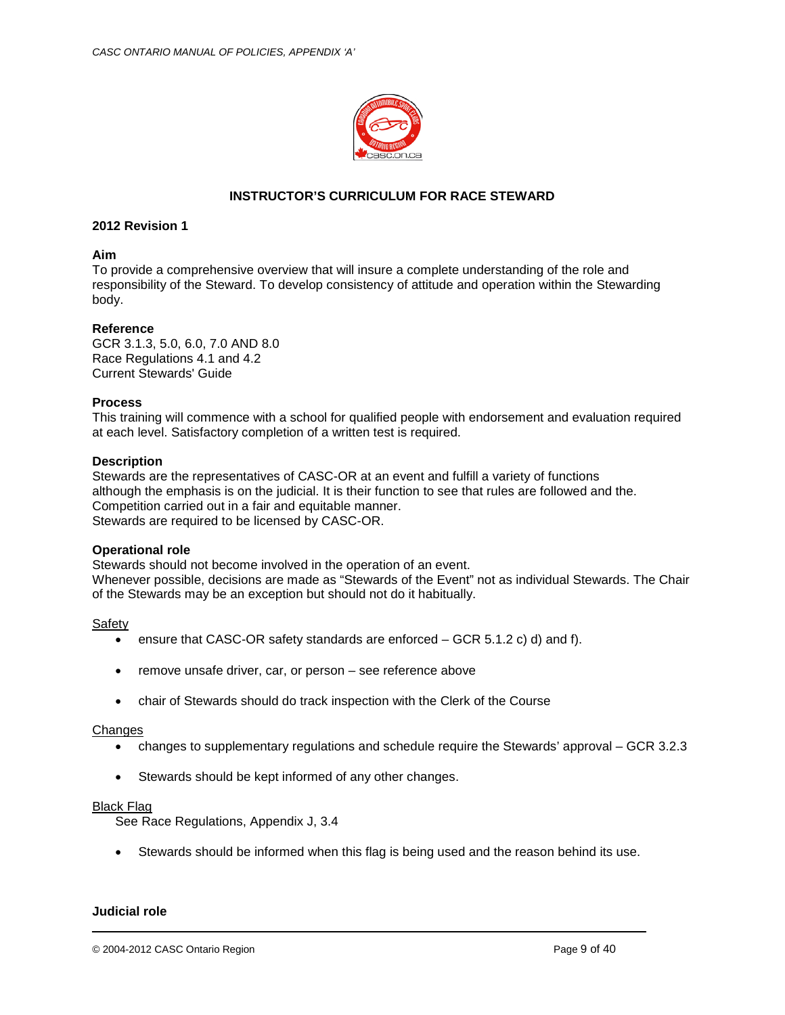

## **INSTRUCTOR'S CURRICULUM FOR RACE STEWARD**

## **2012 Revision 1**

#### **Aim**

To provide a comprehensive overview that will insure a complete understanding of the role and responsibility of the Steward. To develop consistency of attitude and operation within the Stewarding body.

#### **Reference**

GCR 3.1.3, 5.0, 6.0, 7.0 AND 8.0 Race Regulations 4.1 and 4.2 Current Stewards' Guide

#### **Process**

This training will commence with a school for qualified people with endorsement and evaluation required at each level. Satisfactory completion of a written test is required.

#### **Description**

Stewards are the representatives of CASC-OR at an event and fulfill a variety of functions although the emphasis is on the judicial. It is their function to see that rules are followed and the. Competition carried out in a fair and equitable manner. Stewards are required to be licensed by CASC-OR.

#### **Operational role**

Stewards should not become involved in the operation of an event. Whenever possible, decisions are made as "Stewards of the Event" not as individual Stewards. The Chair of the Stewards may be an exception but should not do it habitually.

#### Safety

- ensure that CASC-OR safety standards are enforced  $-$  GCR 5.1.2 c) d) and f).
- remove unsafe driver, car, or person see reference above
- chair of Stewards should do track inspection with the Clerk of the Course

#### **Changes**

- changes to supplementary regulations and schedule require the Stewards' approval GCR 3.2.3
- Stewards should be kept informed of any other changes.

#### Black Flag

See Race Regulations, Appendix J, 3.4

• Stewards should be informed when this flag is being used and the reason behind its use.

#### **Judicial role**

© 2004-2012 CASC Ontario Region Page 9 of 40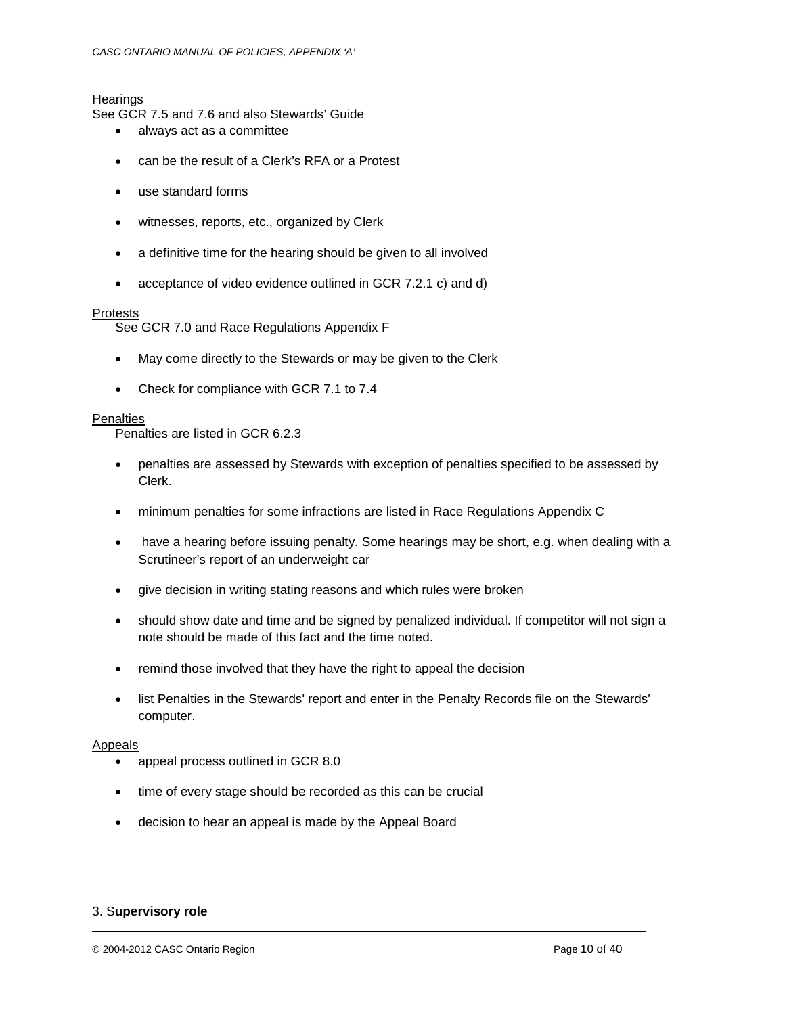## **Hearings**

See GCR 7.5 and 7.6 and also Stewards' Guide

- always act as a committee
- can be the result of a Clerk's RFA or a Protest
- use standard forms
- witnesses, reports, etc., organized by Clerk
- a definitive time for the hearing should be given to all involved
- acceptance of video evidence outlined in GCR 7.2.1 c) and d)

## Protests

See GCR 7.0 and Race Regulations Appendix F

- May come directly to the Stewards or may be given to the Clerk
- Check for compliance with GCR 7.1 to 7.4

## **Penalties**

Penalties are listed in GCR 6.2.3

- penalties are assessed by Stewards with exception of penalties specified to be assessed by Clerk.
- minimum penalties for some infractions are listed in Race Regulations Appendix C
- have a hearing before issuing penalty. Some hearings may be short, e.g. when dealing with a Scrutineer's report of an underweight car
- give decision in writing stating reasons and which rules were broken
- should show date and time and be signed by penalized individual. If competitor will not sign a note should be made of this fact and the time noted.
- remind those involved that they have the right to appeal the decision
- list Penalties in the Stewards' report and enter in the Penalty Records file on the Stewards' computer.

#### Appeals

- appeal process outlined in GCR 8.0
- time of every stage should be recorded as this can be crucial
- decision to hear an appeal is made by the Appeal Board

## 3. S**upervisory role**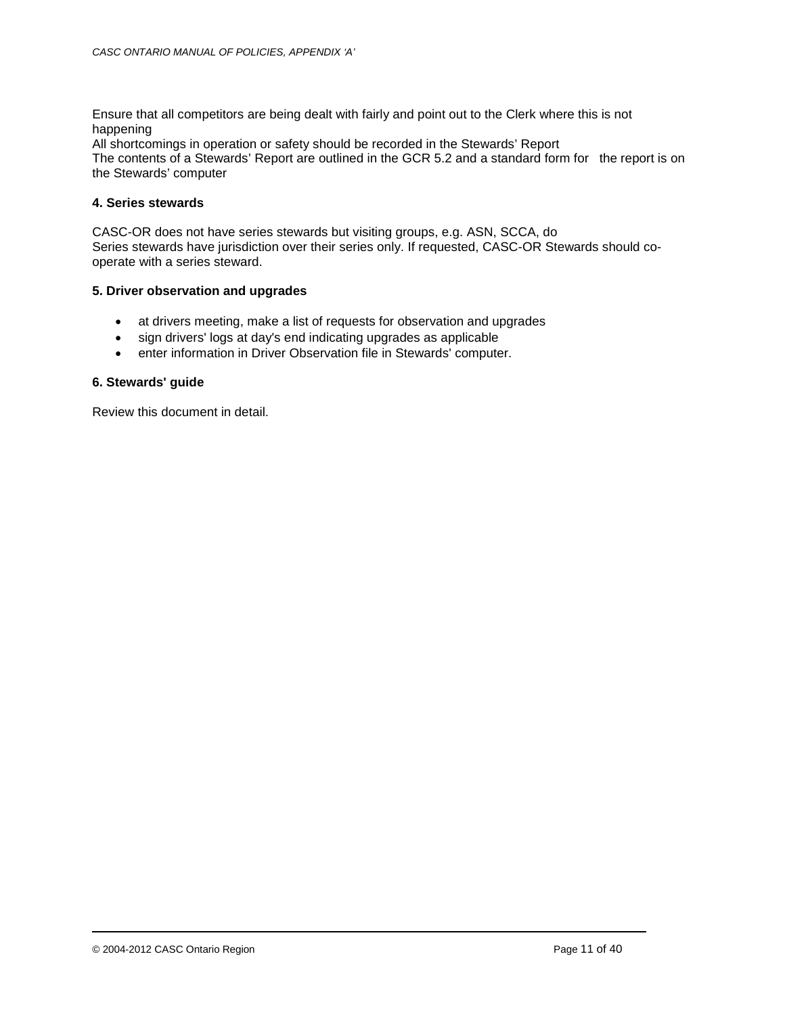Ensure that all competitors are being dealt with fairly and point out to the Clerk where this is not happening

All shortcomings in operation or safety should be recorded in the Stewards' Report

The contents of a Stewards' Report are outlined in the GCR 5.2 and a standard form for the report is on the Stewards' computer

#### **4. Series stewards**

CASC-OR does not have series stewards but visiting groups, e.g. ASN, SCCA, do Series stewards have jurisdiction over their series only. If requested, CASC-OR Stewards should cooperate with a series steward.

#### **5. Driver observation and upgrades**

- at drivers meeting, make a list of requests for observation and upgrades
- sign drivers' logs at day's end indicating upgrades as applicable
- enter information in Driver Observation file in Stewards' computer.

## **6. Stewards' guide**

Review this document in detail.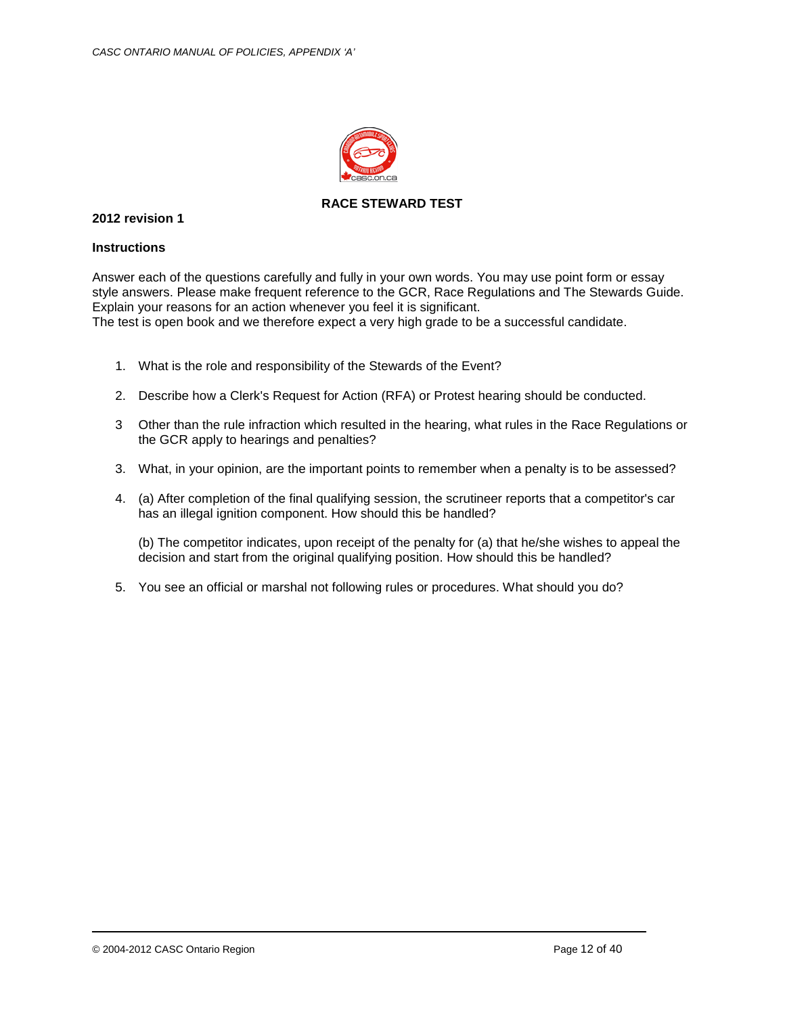

## **RACE STEWARD TEST**

## **2012 revision 1**

#### **Instructions**

Answer each of the questions carefully and fully in your own words. You may use point form or essay style answers. Please make frequent reference to the GCR, Race Regulations and The Stewards Guide. Explain your reasons for an action whenever you feel it is significant. The test is open book and we therefore expect a very high grade to be a successful candidate.

- 1. What is the role and responsibility of the Stewards of the Event?
- 2. Describe how a Clerk's Request for Action (RFA) or Protest hearing should be conducted.
- 3 Other than the rule infraction which resulted in the hearing, what rules in the Race Regulations or the GCR apply to hearings and penalties?
- 3. What, in your opinion, are the important points to remember when a penalty is to be assessed?
- 4. (a) After completion of the final qualifying session, the scrutineer reports that a competitor's car has an illegal ignition component. How should this be handled?

(b) The competitor indicates, upon receipt of the penalty for (a) that he/she wishes to appeal the decision and start from the original qualifying position. How should this be handled?

5. You see an official or marshal not following rules or procedures. What should you do?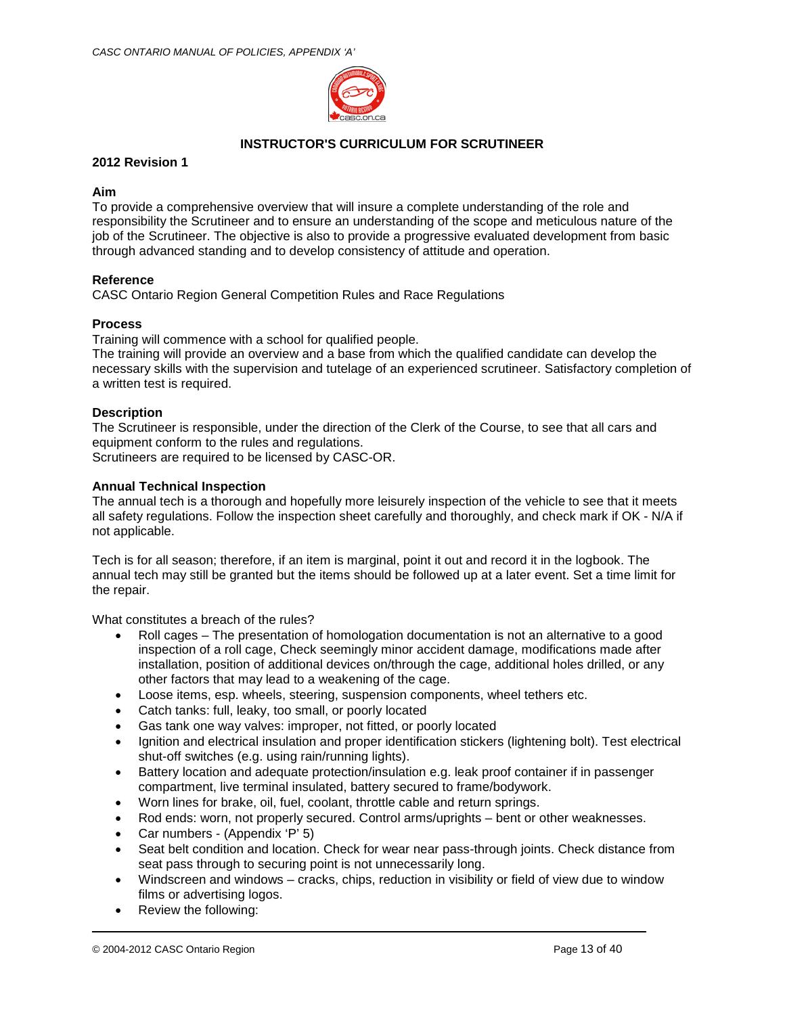

## **INSTRUCTOR'S CURRICULUM FOR SCRUTINEER**

## **2012 Revision 1**

## **Aim**

To provide a comprehensive overview that will insure a complete understanding of the role and responsibility the Scrutineer and to ensure an understanding of the scope and meticulous nature of the job of the Scrutineer. The objective is also to provide a progressive evaluated development from basic through advanced standing and to develop consistency of attitude and operation.

## **Reference**

CASC Ontario Region General Competition Rules and Race Regulations

## **Process**

Training will commence with a school for qualified people.

The training will provide an overview and a base from which the qualified candidate can develop the necessary skills with the supervision and tutelage of an experienced scrutineer. Satisfactory completion of a written test is required.

## **Description**

The Scrutineer is responsible, under the direction of the Clerk of the Course, to see that all cars and equipment conform to the rules and regulations.

Scrutineers are required to be licensed by CASC-OR.

## **Annual Technical Inspection**

The annual tech is a thorough and hopefully more leisurely inspection of the vehicle to see that it meets all safety regulations. Follow the inspection sheet carefully and thoroughly, and check mark if OK - N/A if not applicable.

Tech is for all season; therefore, if an item is marginal, point it out and record it in the logbook. The annual tech may still be granted but the items should be followed up at a later event. Set a time limit for the repair.

What constitutes a breach of the rules?

- Roll cages The presentation of homologation documentation is not an alternative to a good inspection of a roll cage, Check seemingly minor accident damage, modifications made after installation, position of additional devices on/through the cage, additional holes drilled, or any other factors that may lead to a weakening of the cage.
- Loose items, esp. wheels, steering, suspension components, wheel tethers etc.
- Catch tanks: full, leaky, too small, or poorly located
- Gas tank one way valves: improper, not fitted, or poorly located
- Ignition and electrical insulation and proper identification stickers (lightening bolt). Test electrical shut-off switches (e.g. using rain/running lights).
- Battery location and adequate protection/insulation e.g. leak proof container if in passenger compartment, live terminal insulated, battery secured to frame/bodywork.
- Worn lines for brake, oil, fuel, coolant, throttle cable and return springs.
- Rod ends: worn, not properly secured. Control arms/uprights bent or other weaknesses.
- Car numbers (Appendix 'P' 5)
- Seat belt condition and location. Check for wear near pass-through joints. Check distance from seat pass through to securing point is not unnecessarily long.
- Windscreen and windows cracks, chips, reduction in visibility or field of view due to window films or advertising logos.
- Review the following: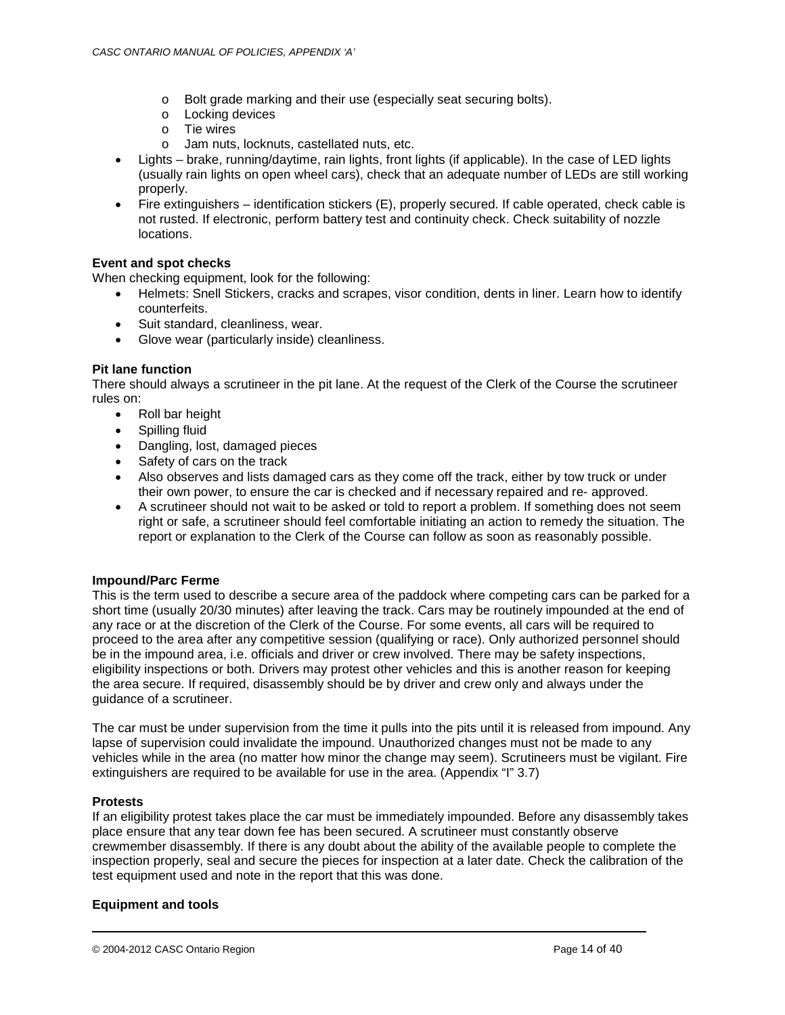- o Bolt grade marking and their use (especially seat securing bolts).
- o Locking devices
- o Tie wires
- o Jam nuts, locknuts, castellated nuts, etc.
- Lights brake, running/daytime, rain lights, front lights (if applicable). In the case of LED lights (usually rain lights on open wheel cars), check that an adequate number of LEDs are still working properly.
- Fire extinguishers identification stickers (E), properly secured. If cable operated, check cable is not rusted. If electronic, perform battery test and continuity check. Check suitability of nozzle locations.

## **Event and spot checks**

When checking equipment, look for the following:

- Helmets: Snell Stickers, cracks and scrapes, visor condition, dents in liner. Learn how to identify counterfeits.
- Suit standard, cleanliness, wear.
- Glove wear (particularly inside) cleanliness.

## **Pit lane function**

There should always a scrutineer in the pit lane. At the request of the Clerk of the Course the scrutineer rules on:

- Roll bar height
- Spilling fluid
- Dangling, lost, damaged pieces
- Safety of cars on the track
- Also observes and lists damaged cars as they come off the track, either by tow truck or under their own power, to ensure the car is checked and if necessary repaired and re- approved.
- A scrutineer should not wait to be asked or told to report a problem. If something does not seem right or safe, a scrutineer should feel comfortable initiating an action to remedy the situation. The report or explanation to the Clerk of the Course can follow as soon as reasonably possible.

## **Impound/Parc Ferme**

This is the term used to describe a secure area of the paddock where competing cars can be parked for a short time (usually 20/30 minutes) after leaving the track. Cars may be routinely impounded at the end of any race or at the discretion of the Clerk of the Course. For some events, all cars will be required to proceed to the area after any competitive session (qualifying or race). Only authorized personnel should be in the impound area, i.e. officials and driver or crew involved. There may be safety inspections, eligibility inspections or both. Drivers may protest other vehicles and this is another reason for keeping the area secure. If required, disassembly should be by driver and crew only and always under the guidance of a scrutineer.

The car must be under supervision from the time it pulls into the pits until it is released from impound. Any lapse of supervision could invalidate the impound. Unauthorized changes must not be made to any vehicles while in the area (no matter how minor the change may seem). Scrutineers must be vigilant. Fire extinguishers are required to be available for use in the area. (Appendix "I" 3.7)

## **Protests**

If an eligibility protest takes place the car must be immediately impounded. Before any disassembly takes place ensure that any tear down fee has been secured. A scrutineer must constantly observe crewmember disassembly. If there is any doubt about the ability of the available people to complete the inspection properly, seal and secure the pieces for inspection at a later date. Check the calibration of the test equipment used and note in the report that this was done.

## **Equipment and tools**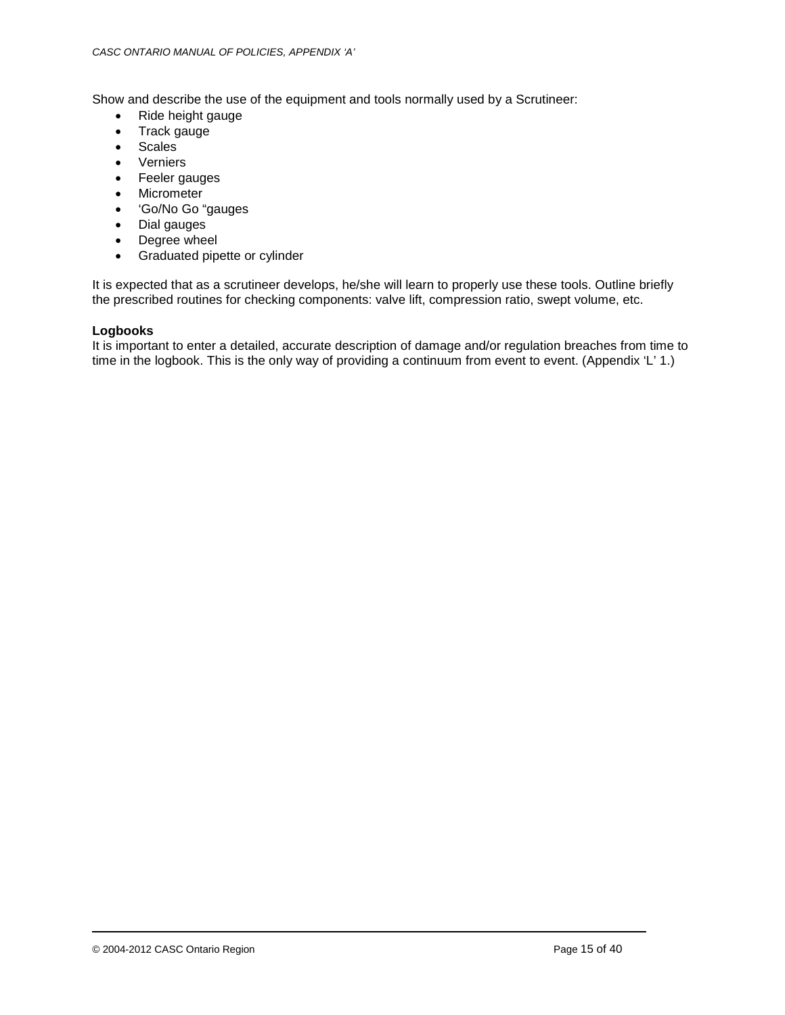Show and describe the use of the equipment and tools normally used by a Scrutineer:

- Ride height gauge
- Track gauge
- Scales
- Verniers
- Feeler gauges
- Micrometer
- 'Go/No Go "gauges
- Dial gauges
- Degree wheel
- Graduated pipette or cylinder

It is expected that as a scrutineer develops, he/she will learn to properly use these tools. Outline briefly the prescribed routines for checking components: valve lift, compression ratio, swept volume, etc.

## **Logbooks**

It is important to enter a detailed, accurate description of damage and/or regulation breaches from time to time in the logbook. This is the only way of providing a continuum from event to event. (Appendix 'L' 1.)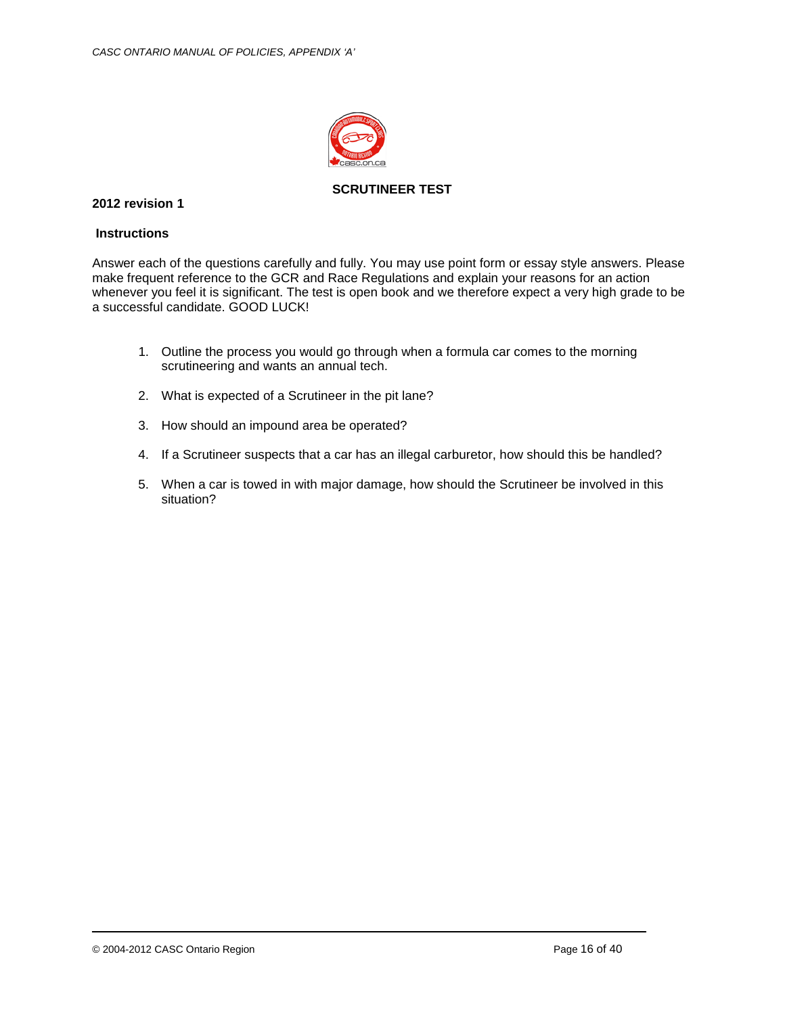

**SCRUTINEER TEST**

## **2012 revision 1**

### **Instructions**

Answer each of the questions carefully and fully. You may use point form or essay style answers. Please make frequent reference to the GCR and Race Regulations and explain your reasons for an action whenever you feel it is significant. The test is open book and we therefore expect a very high grade to be a successful candidate. GOOD LUCK!

- 1. Outline the process you would go through when a formula car comes to the morning scrutineering and wants an annual tech.
- 2. What is expected of a Scrutineer in the pit lane?
- 3. How should an impound area be operated?
- 4. If a Scrutineer suspects that a car has an illegal carburetor, how should this be handled?
- 5. When a car is towed in with major damage, how should the Scrutineer be involved in this situation?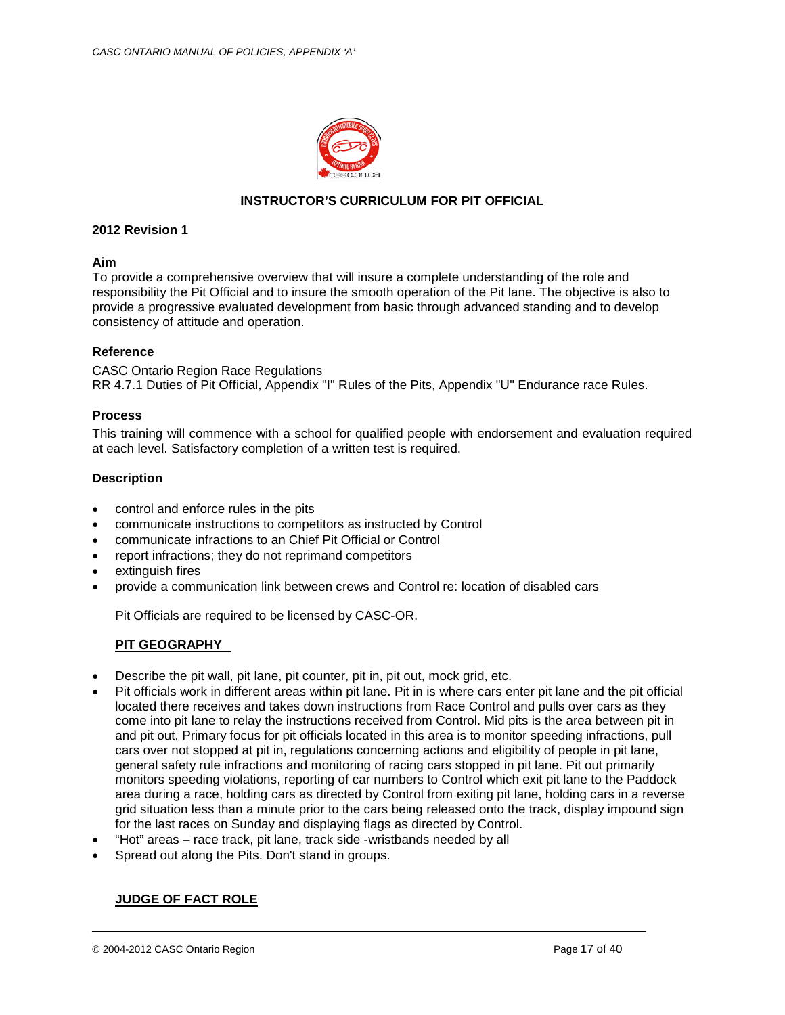

## **INSTRUCTOR'S CURRICULUM FOR PIT OFFICIAL**

#### **2012 Revision 1**

#### **Aim**

To provide a comprehensive overview that will insure a complete understanding of the role and responsibility the Pit Official and to insure the smooth operation of the Pit lane. The objective is also to provide a progressive evaluated development from basic through advanced standing and to develop consistency of attitude and operation.

## **Reference**

CASC Ontario Region Race Regulations RR 4.7.1 Duties of Pit Official, Appendix "I" Rules of the Pits, Appendix "U" Endurance race Rules.

#### **Process**

This training will commence with a school for qualified people with endorsement and evaluation required at each level. Satisfactory completion of a written test is required.

#### **Description**

- control and enforce rules in the pits
- communicate instructions to competitors as instructed by Control
- communicate infractions to an Chief Pit Official or Control
- report infractions; they do not reprimand competitors
- extinguish fires
- provide a communication link between crews and Control re: location of disabled cars

Pit Officials are required to be licensed by CASC-OR.

## **PIT GEOGRAPHY**

- Describe the pit wall, pit lane, pit counter, pit in, pit out, mock grid, etc.
- Pit officials work in different areas within pit lane. Pit in is where cars enter pit lane and the pit official located there receives and takes down instructions from Race Control and pulls over cars as they come into pit lane to relay the instructions received from Control. Mid pits is the area between pit in and pit out. Primary focus for pit officials located in this area is to monitor speeding infractions, pull cars over not stopped at pit in, regulations concerning actions and eligibility of people in pit lane, general safety rule infractions and monitoring of racing cars stopped in pit lane. Pit out primarily monitors speeding violations, reporting of car numbers to Control which exit pit lane to the Paddock area during a race, holding cars as directed by Control from exiting pit lane, holding cars in a reverse grid situation less than a minute prior to the cars being released onto the track, display impound sign for the last races on Sunday and displaying flags as directed by Control.
- "Hot" areas race track, pit lane, track side -wristbands needed by all
- Spread out along the Pits. Don't stand in groups.

## **JUDGE OF FACT ROLE**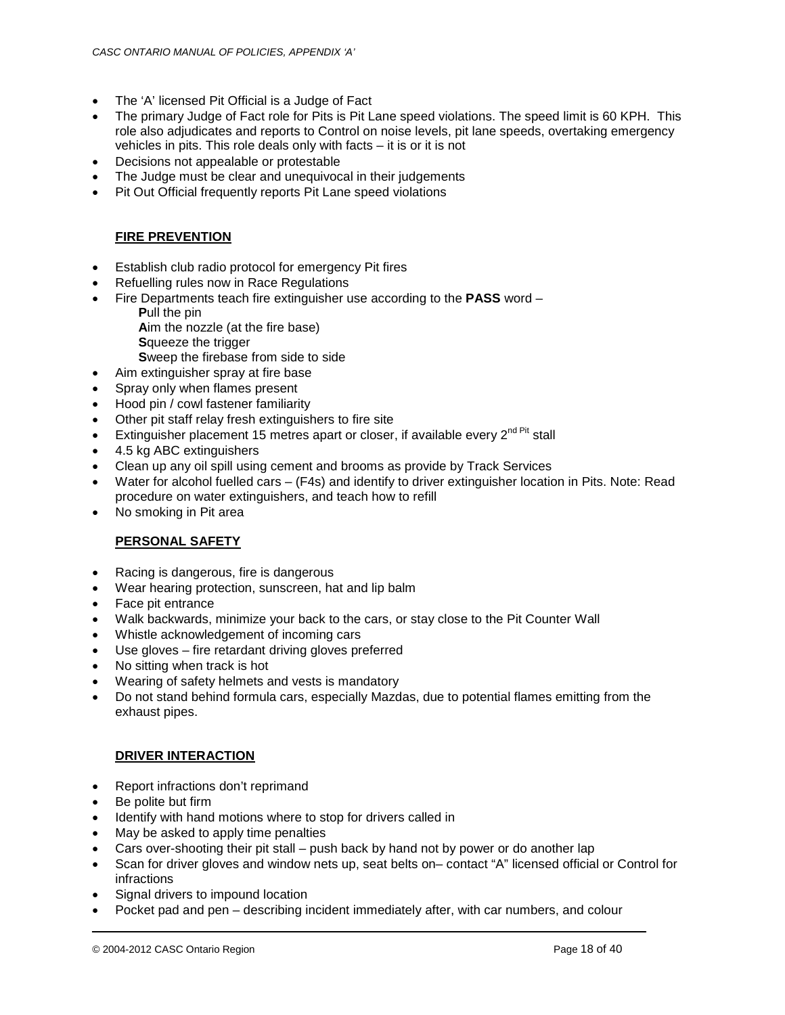- The 'A' licensed Pit Official is a Judge of Fact
- The primary Judge of Fact role for Pits is Pit Lane speed violations. The speed limit is 60 KPH. This role also adjudicates and reports to Control on noise levels, pit lane speeds, overtaking emergency vehicles in pits. This role deals only with facts – it is or it is not
- Decisions not appealable or protestable
- The Judge must be clear and unequivocal in their judgements
- Pit Out Official frequently reports Pit Lane speed violations

## **FIRE PREVENTION**

- Establish club radio protocol for emergency Pit fires
- Refuelling rules now in Race Regulations
- Fire Departments teach fire extinguisher use according to the **PASS** word
	- **P**ull the pin **A**im the nozzle (at the fire base) **S**queeze the trigger
		- **S**weep the firebase from side to side
- Aim extinguisher spray at fire base
- Spray only when flames present
- Hood pin / cowl fastener familiarity
- Other pit staff relay fresh extinguishers to fire site
- Extinguisher placement 15 metres apart or closer, if available every  $2^{nd \text{ Pit}}$  stall
- 4.5 kg ABC extinguishers
- Clean up any oil spill using cement and brooms as provide by Track Services
- Water for alcohol fuelled cars (F4s) and identify to driver extinguisher location in Pits. Note: Read procedure on water extinguishers, and teach how to refill
- No smoking in Pit area

## **PERSONAL SAFETY**

- Racing is dangerous, fire is dangerous
- Wear hearing protection, sunscreen, hat and lip balm
- Face pit entrance
- Walk backwards, minimize your back to the cars, or stay close to the Pit Counter Wall
- Whistle acknowledgement of incoming cars
- Use gloves fire retardant driving gloves preferred
- No sitting when track is hot
- Wearing of safety helmets and vests is mandatory
- Do not stand behind formula cars, especially Mazdas, due to potential flames emitting from the exhaust pipes.

## **DRIVER INTERACTION**

- Report infractions don't reprimand
- Be polite but firm
- Identify with hand motions where to stop for drivers called in
- May be asked to apply time penalties
- Cars over-shooting their pit stall push back by hand not by power or do another lap
- Scan for driver gloves and window nets up, seat belts on– contact "A" licensed official or Control for infractions
- Signal drivers to impound location
- Pocket pad and pen describing incident immediately after, with car numbers, and colour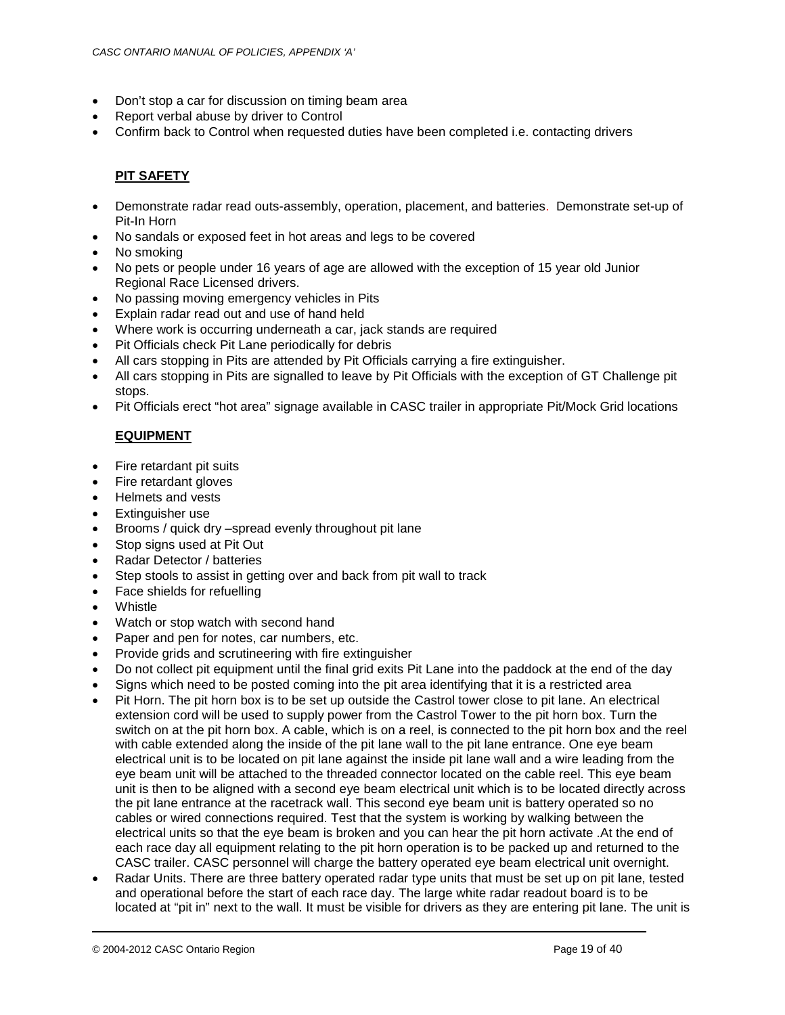- Don't stop a car for discussion on timing beam area
- Report verbal abuse by driver to Control
- Confirm back to Control when requested duties have been completed i.e. contacting drivers

# **PIT SAFETY**

- Demonstrate radar read outs-assembly, operation, placement, and batteries. Demonstrate set-up of Pit-In Horn
- No sandals or exposed feet in hot areas and legs to be covered
- No smoking
- No pets or people under 16 years of age are allowed with the exception of 15 year old Junior Regional Race Licensed drivers.
- No passing moving emergency vehicles in Pits
- Explain radar read out and use of hand held
- Where work is occurring underneath a car, jack stands are required
- Pit Officials check Pit Lane periodically for debris
- All cars stopping in Pits are attended by Pit Officials carrying a fire extinguisher.
- All cars stopping in Pits are signalled to leave by Pit Officials with the exception of GT Challenge pit stops.
- Pit Officials erect "hot area" signage available in CASC trailer in appropriate Pit/Mock Grid locations

## **EQUIPMENT**

- Fire retardant pit suits
- Fire retardant gloves
- Helmets and vests
- Extinguisher use
- Brooms / quick dry –spread evenly throughout pit lane
- Stop signs used at Pit Out
- Radar Detector / batteries
- Step stools to assist in getting over and back from pit wall to track
- Face shields for refuelling
- Whistle
- Watch or stop watch with second hand
- Paper and pen for notes, car numbers, etc.
- Provide grids and scrutineering with fire extinguisher
- Do not collect pit equipment until the final grid exits Pit Lane into the paddock at the end of the day
- Signs which need to be posted coming into the pit area identifying that it is a restricted area
- Pit Horn. The pit horn box is to be set up outside the Castrol tower close to pit lane. An electrical extension cord will be used to supply power from the Castrol Tower to the pit horn box. Turn the switch on at the pit horn box. A cable, which is on a reel, is connected to the pit horn box and the reel with cable extended along the inside of the pit lane wall to the pit lane entrance. One eye beam electrical unit is to be located on pit lane against the inside pit lane wall and a wire leading from the eye beam unit will be attached to the threaded connector located on the cable reel. This eye beam unit is then to be aligned with a second eye beam electrical unit which is to be located directly across the pit lane entrance at the racetrack wall. This second eye beam unit is battery operated so no cables or wired connections required. Test that the system is working by walking between the electrical units so that the eye beam is broken and you can hear the pit horn activate .At the end of each race day all equipment relating to the pit horn operation is to be packed up and returned to the CASC trailer. CASC personnel will charge the battery operated eye beam electrical unit overnight.
- Radar Units. There are three battery operated radar type units that must be set up on pit lane, tested and operational before the start of each race day. The large white radar readout board is to be located at "pit in" next to the wall. It must be visible for drivers as they are entering pit lane. The unit is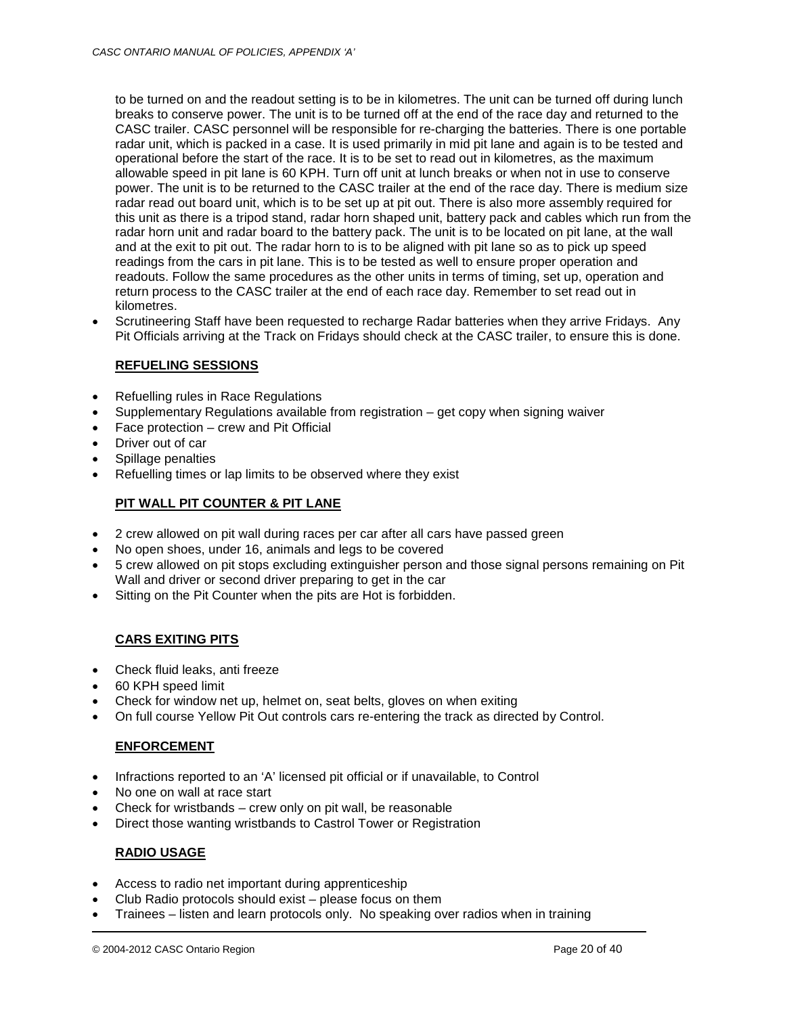to be turned on and the readout setting is to be in kilometres. The unit can be turned off during lunch breaks to conserve power. The unit is to be turned off at the end of the race day and returned to the CASC trailer. CASC personnel will be responsible for re-charging the batteries. There is one portable radar unit, which is packed in a case. It is used primarily in mid pit lane and again is to be tested and operational before the start of the race. It is to be set to read out in kilometres, as the maximum allowable speed in pit lane is 60 KPH. Turn off unit at lunch breaks or when not in use to conserve power. The unit is to be returned to the CASC trailer at the end of the race day. There is medium size radar read out board unit, which is to be set up at pit out. There is also more assembly required for this unit as there is a tripod stand, radar horn shaped unit, battery pack and cables which run from the radar horn unit and radar board to the battery pack. The unit is to be located on pit lane, at the wall and at the exit to pit out. The radar horn to is to be aligned with pit lane so as to pick up speed readings from the cars in pit lane. This is to be tested as well to ensure proper operation and readouts. Follow the same procedures as the other units in terms of timing, set up, operation and return process to the CASC trailer at the end of each race day. Remember to set read out in kilometres.

• Scrutineering Staff have been requested to recharge Radar batteries when they arrive Fridays. Any Pit Officials arriving at the Track on Fridays should check at the CASC trailer, to ensure this is done.

## **REFUELING SESSIONS**

- Refuelling rules in Race Regulations
- Supplementary Regulations available from registration  $-$  get copy when signing waiver
- Face protection crew and Pit Official
- Driver out of car
- Spillage penalties
- Refuelling times or lap limits to be observed where they exist

## **PIT WALL PIT COUNTER & PIT LANE**

- 2 crew allowed on pit wall during races per car after all cars have passed green
- No open shoes, under 16, animals and legs to be covered
- 5 crew allowed on pit stops excluding extinguisher person and those signal persons remaining on Pit Wall and driver or second driver preparing to get in the car
- Sitting on the Pit Counter when the pits are Hot is forbidden.

## **CARS EXITING PITS**

- Check fluid leaks, anti freeze
- 60 KPH speed limit
- Check for window net up, helmet on, seat belts, gloves on when exiting
- On full course Yellow Pit Out controls cars re-entering the track as directed by Control.

## **ENFORCEMENT**

- Infractions reported to an 'A' licensed pit official or if unavailable, to Control
- No one on wall at race start
- Check for wristbands crew only on pit wall, be reasonable
- Direct those wanting wristbands to Castrol Tower or Registration

## **RADIO USAGE**

- Access to radio net important during apprenticeship
- Club Radio protocols should exist please focus on them
- Trainees listen and learn protocols only. No speaking over radios when in training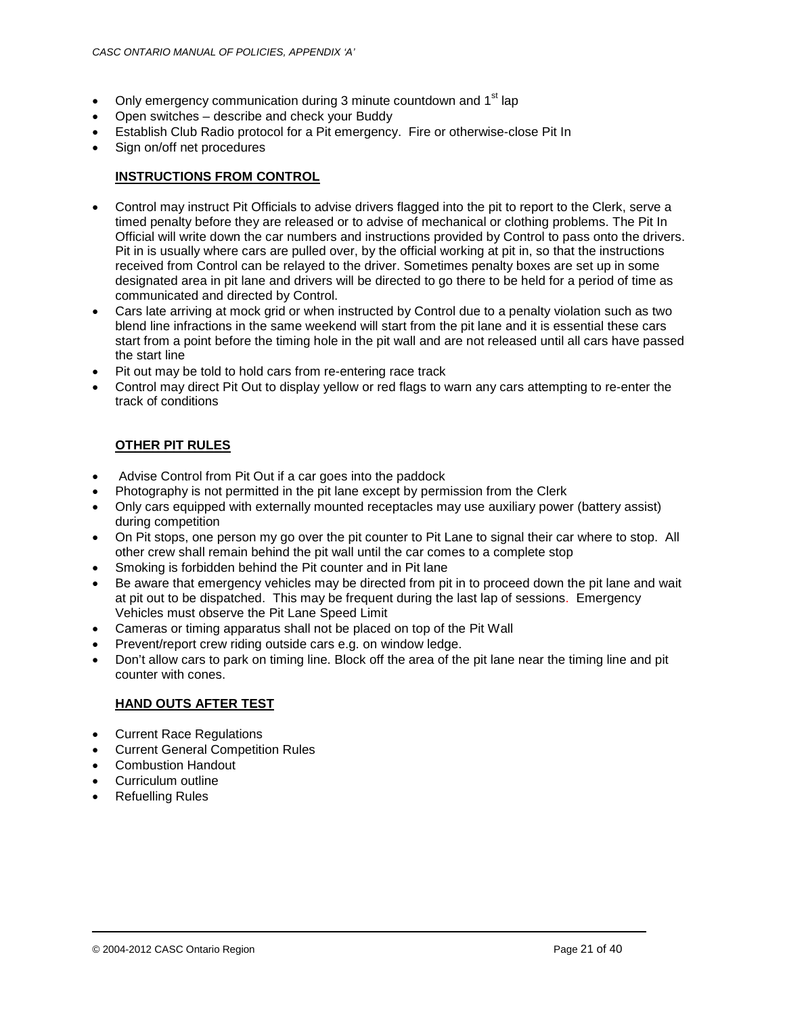- Only emergency communication during 3 minute countdown and 1<sup>st</sup> lap
- Open switches describe and check your Buddy
- Establish Club Radio protocol for a Pit emergency. Fire or otherwise-close Pit In
- Sign on/off net procedures

## **INSTRUCTIONS FROM CONTROL**

- Control may instruct Pit Officials to advise drivers flagged into the pit to report to the Clerk, serve a timed penalty before they are released or to advise of mechanical or clothing problems. The Pit In Official will write down the car numbers and instructions provided by Control to pass onto the drivers. Pit in is usually where cars are pulled over, by the official working at pit in, so that the instructions received from Control can be relayed to the driver. Sometimes penalty boxes are set up in some designated area in pit lane and drivers will be directed to go there to be held for a period of time as communicated and directed by Control.
- Cars late arriving at mock grid or when instructed by Control due to a penalty violation such as two blend line infractions in the same weekend will start from the pit lane and it is essential these cars start from a point before the timing hole in the pit wall and are not released until all cars have passed the start line
- Pit out may be told to hold cars from re-entering race track
- Control may direct Pit Out to display yellow or red flags to warn any cars attempting to re-enter the track of conditions

## **OTHER PIT RULES**

- Advise Control from Pit Out if a car goes into the paddock
- Photography is not permitted in the pit lane except by permission from the Clerk
- Only cars equipped with externally mounted receptacles may use auxiliary power (battery assist) during competition
- On Pit stops, one person my go over the pit counter to Pit Lane to signal their car where to stop. All other crew shall remain behind the pit wall until the car comes to a complete stop
- Smoking is forbidden behind the Pit counter and in Pit lane
- Be aware that emergency vehicles may be directed from pit in to proceed down the pit lane and wait at pit out to be dispatched. This may be frequent during the last lap of sessions. Emergency Vehicles must observe the Pit Lane Speed Limit
- Cameras or timing apparatus shall not be placed on top of the Pit Wall
- Prevent/report crew riding outside cars e.g. on window ledge.
- Don't allow cars to park on timing line. Block off the area of the pit lane near the timing line and pit counter with cones.

## **HAND OUTS AFTER TEST**

- Current Race Regulations
- Current General Competition Rules
- Combustion Handout
- Curriculum outline
- Refuelling Rules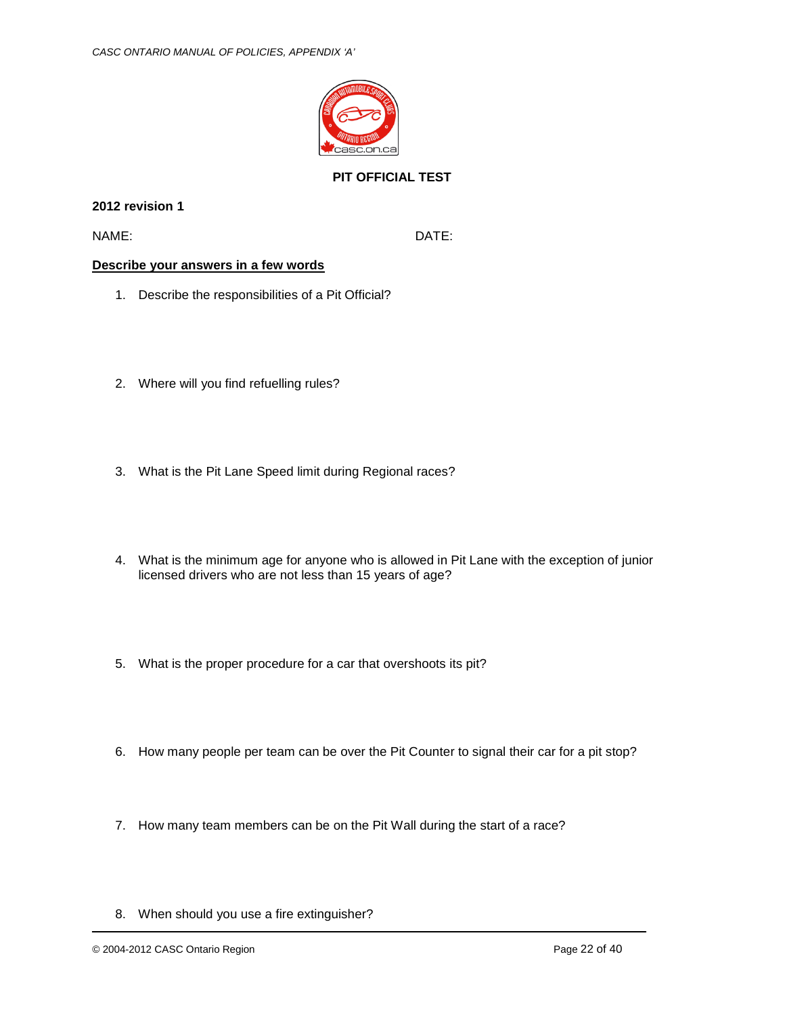

# **PIT OFFICIAL TEST**

**2012 revision 1**

NAME: DATE:

## **Describe your answers in a few words**

- 1. Describe the responsibilities of a Pit Official?
- 2. Where will you find refuelling rules?
- 3. What is the Pit Lane Speed limit during Regional races?
- 4. What is the minimum age for anyone who is allowed in Pit Lane with the exception of junior licensed drivers who are not less than 15 years of age?
- 5. What is the proper procedure for a car that overshoots its pit?
- 6. How many people per team can be over the Pit Counter to signal their car for a pit stop?
- 7. How many team members can be on the Pit Wall during the start of a race?

<sup>8.</sup> When should you use a fire extinguisher?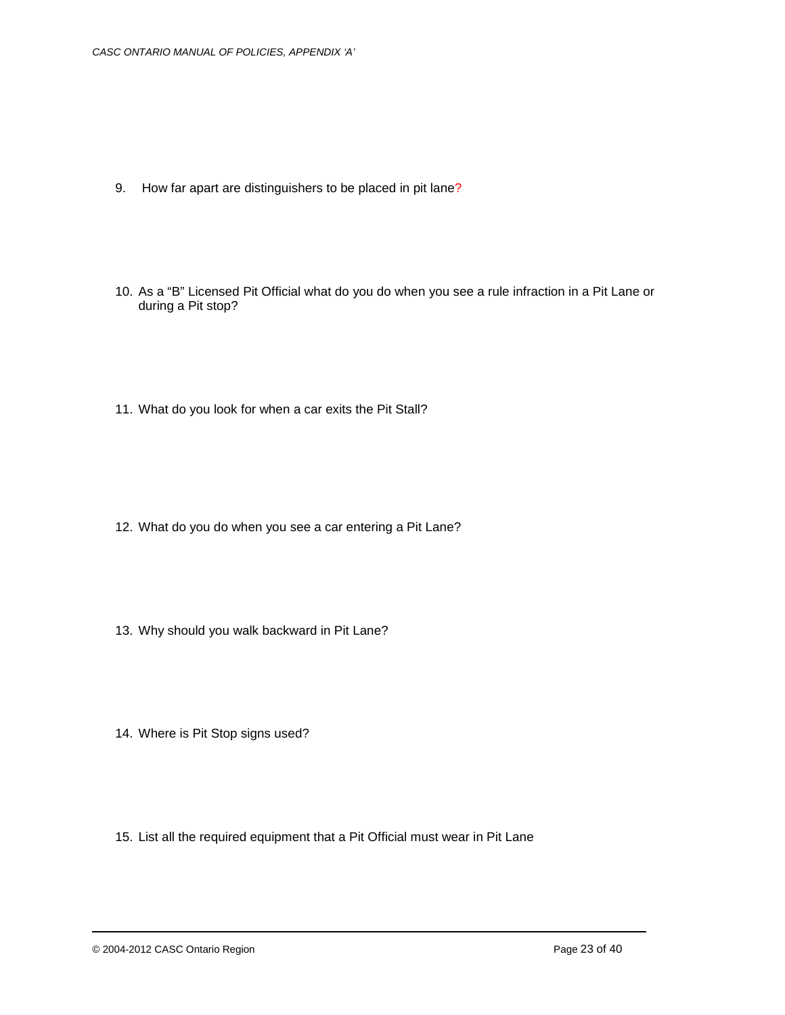- 9. How far apart are distinguishers to be placed in pit lane?
- 10. As a "B" Licensed Pit Official what do you do when you see a rule infraction in a Pit Lane or during a Pit stop?
- 11. What do you look for when a car exits the Pit Stall?

- 12. What do you do when you see a car entering a Pit Lane?
- 13. Why should you walk backward in Pit Lane?
- 14. Where is Pit Stop signs used?
- 15. List all the required equipment that a Pit Official must wear in Pit Lane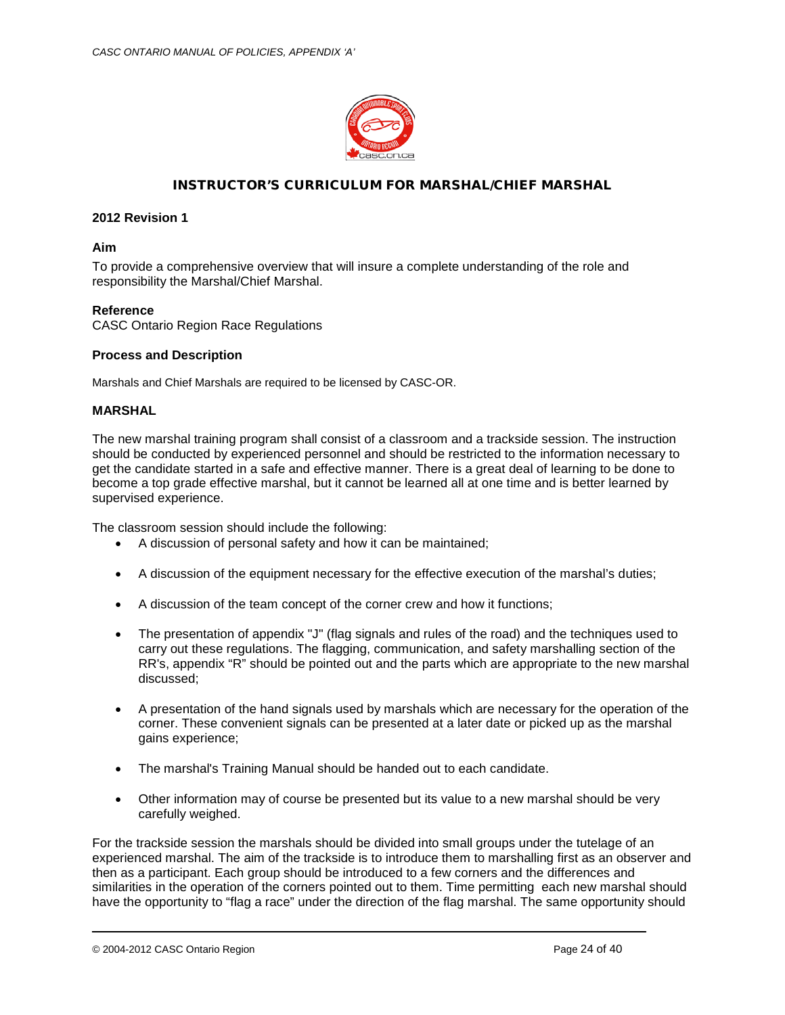

## INSTRUCTOR'S CURRICULUM FOR MARSHAL/CHIEF MARSHAL

### **2012 Revision 1**

#### **Aim**

To provide a comprehensive overview that will insure a complete understanding of the role and responsibility the Marshal/Chief Marshal.

#### **Reference**

CASC Ontario Region Race Regulations

#### **Process and Description**

Marshals and Chief Marshals are required to be licensed by CASC-OR.

#### **MARSHAL**

The new marshal training program shall consist of a classroom and a trackside session. The instruction should be conducted by experienced personnel and should be restricted to the information necessary to get the candidate started in a safe and effective manner. There is a great deal of learning to be done to become a top grade effective marshal, but it cannot be learned all at one time and is better learned by supervised experience.

The classroom session should include the following:

- A discussion of personal safety and how it can be maintained;
- A discussion of the equipment necessary for the effective execution of the marshal's duties;
- A discussion of the team concept of the corner crew and how it functions;
- The presentation of appendix "J" (flag signals and rules of the road) and the techniques used to carry out these regulations. The flagging, communication, and safety marshalling section of the RR's, appendix "R" should be pointed out and the parts which are appropriate to the new marshal discussed;
- A presentation of the hand signals used by marshals which are necessary for the operation of the corner. These convenient signals can be presented at a later date or picked up as the marshal gains experience;
- The marshal's Training Manual should be handed out to each candidate.
- Other information may of course be presented but its value to a new marshal should be very carefully weighed.

For the trackside session the marshals should be divided into small groups under the tutelage of an experienced marshal. The aim of the trackside is to introduce them to marshalling first as an observer and then as a participant. Each group should be introduced to a few corners and the differences and similarities in the operation of the corners pointed out to them. Time permitting each new marshal should have the opportunity to "flag a race" under the direction of the flag marshal. The same opportunity should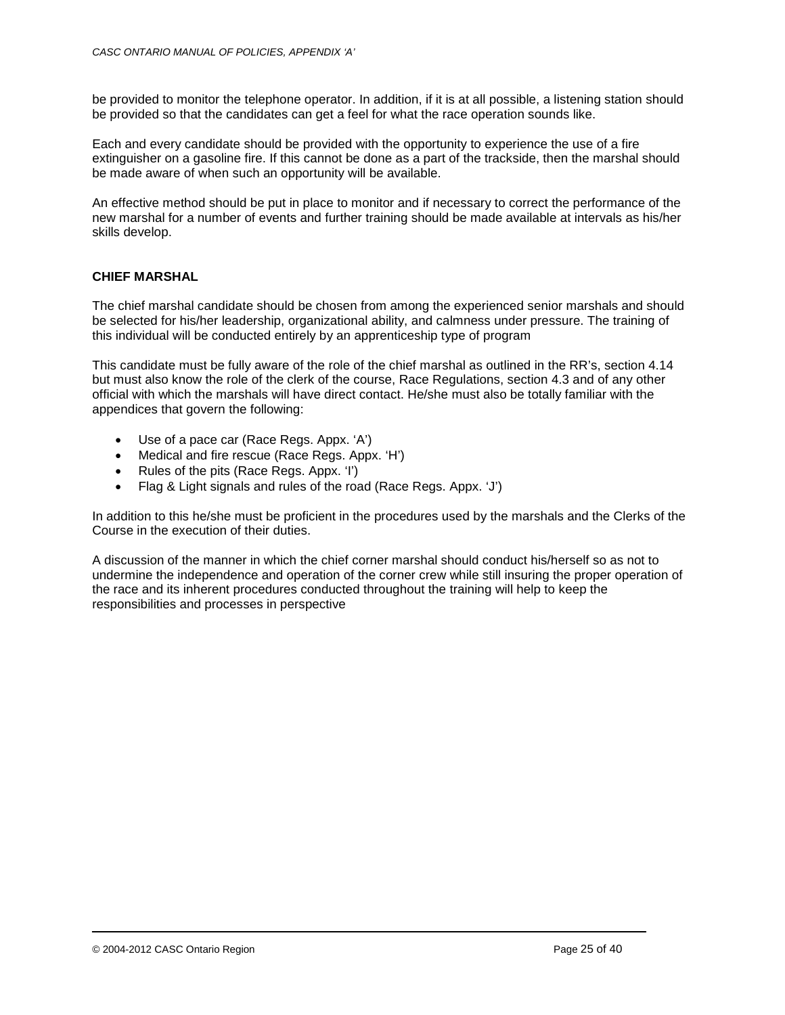be provided to monitor the telephone operator. In addition, if it is at all possible, a listening station should be provided so that the candidates can get a feel for what the race operation sounds like.

Each and every candidate should be provided with the opportunity to experience the use of a fire extinguisher on a gasoline fire. If this cannot be done as a part of the trackside, then the marshal should be made aware of when such an opportunity will be available.

An effective method should be put in place to monitor and if necessary to correct the performance of the new marshal for a number of events and further training should be made available at intervals as his/her skills develop.

## **CHIEF MARSHAL**

The chief marshal candidate should be chosen from among the experienced senior marshals and should be selected for his/her leadership, organizational ability, and calmness under pressure. The training of this individual will be conducted entirely by an apprenticeship type of program

This candidate must be fully aware of the role of the chief marshal as outlined in the RR's, section 4.14 but must also know the role of the clerk of the course, Race Regulations, section 4.3 and of any other official with which the marshals will have direct contact. He/she must also be totally familiar with the appendices that govern the following:

- Use of a pace car (Race Regs. Appx. 'A')
- Medical and fire rescue (Race Regs. Appx. 'H')
- Rules of the pits (Race Regs. Appx. 'I')
- Flag & Light signals and rules of the road (Race Regs. Appx. 'J')

In addition to this he/she must be proficient in the procedures used by the marshals and the Clerks of the Course in the execution of their duties.

A discussion of the manner in which the chief corner marshal should conduct his/herself so as not to undermine the independence and operation of the corner crew while still insuring the proper operation of the race and its inherent procedures conducted throughout the training will help to keep the responsibilities and processes in perspective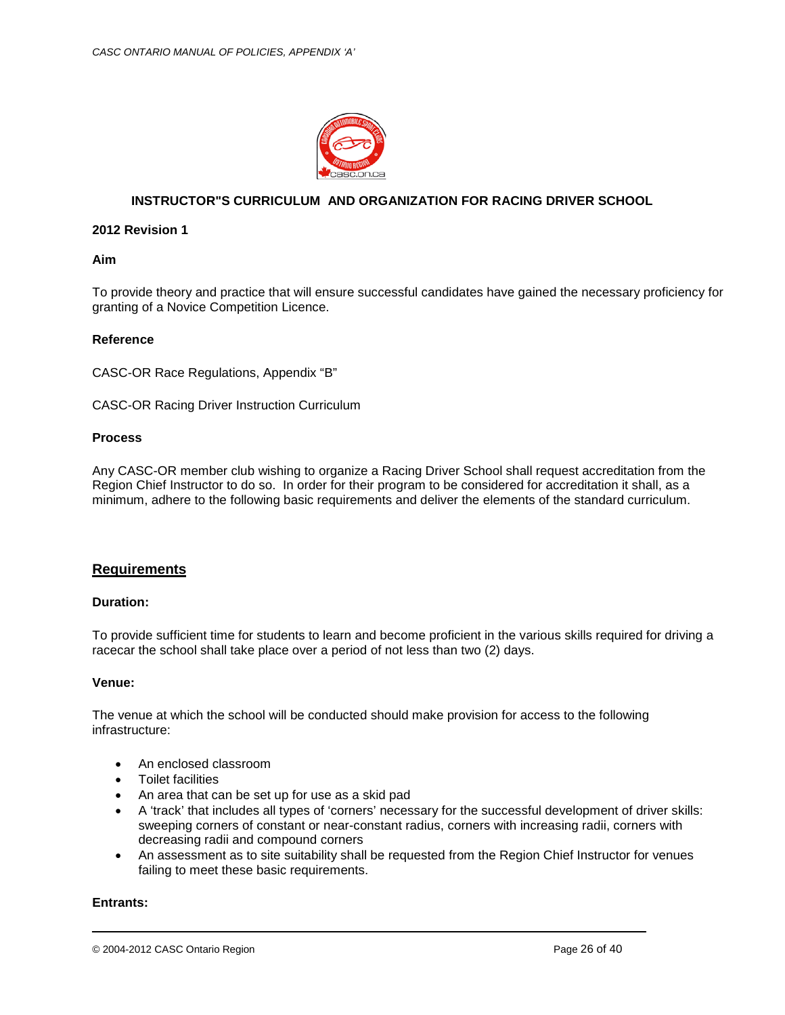

## **INSTRUCTOR"S CURRICULUM AND ORGANIZATION FOR RACING DRIVER SCHOOL**

## **2012 Revision 1**

#### **Aim**

To provide theory and practice that will ensure successful candidates have gained the necessary proficiency for granting of a Novice Competition Licence.

## **Reference**

CASC-OR Race Regulations, Appendix "B"

CASC-OR Racing Driver Instruction Curriculum

#### **Process**

Any CASC-OR member club wishing to organize a Racing Driver School shall request accreditation from the Region Chief Instructor to do so. In order for their program to be considered for accreditation it shall, as a minimum, adhere to the following basic requirements and deliver the elements of the standard curriculum.

## **Requirements**

## **Duration:**

To provide sufficient time for students to learn and become proficient in the various skills required for driving a racecar the school shall take place over a period of not less than two (2) days.

## **Venue:**

The venue at which the school will be conducted should make provision for access to the following infrastructure:

- An enclosed classroom
- Toilet facilities
- An area that can be set up for use as a skid pad
- A 'track' that includes all types of 'corners' necessary for the successful development of driver skills: sweeping corners of constant or near-constant radius, corners with increasing radii, corners with decreasing radii and compound corners
- An assessment as to site suitability shall be requested from the Region Chief Instructor for venues failing to meet these basic requirements.

## **Entrants:**

© 2004-2012 CASC Ontario Region Page 26 of 40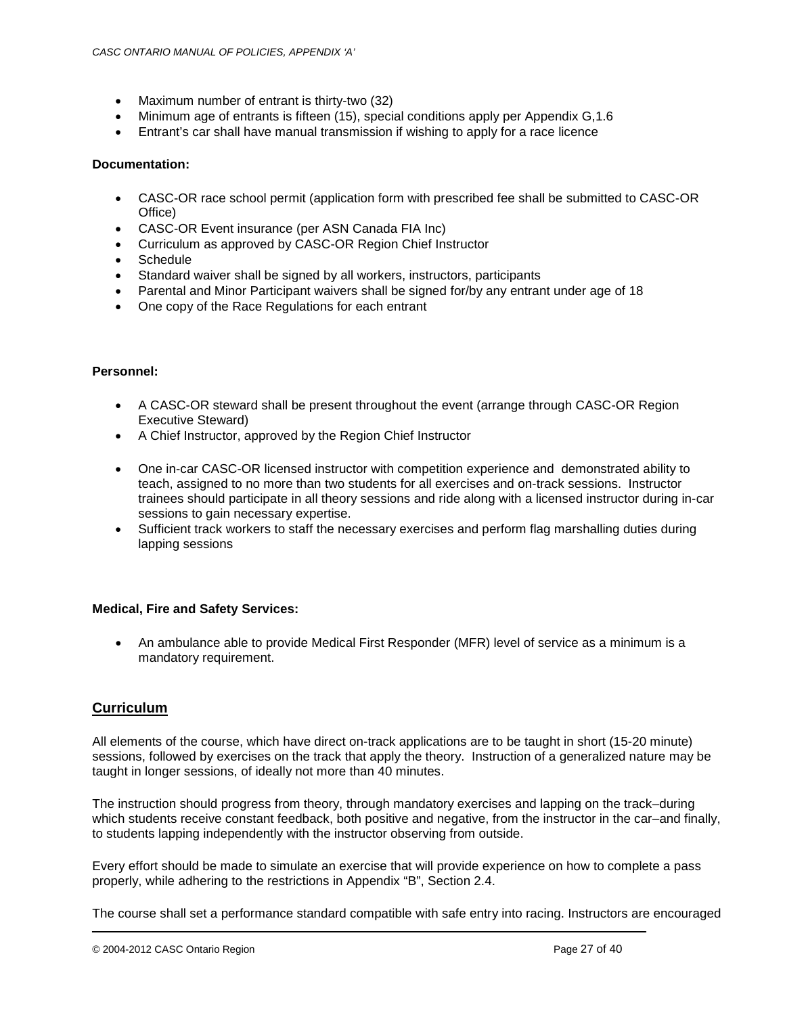- Maximum number of entrant is thirty-two (32)
- Minimum age of entrants is fifteen (15), special conditions apply per Appendix G,1.6
- Entrant's car shall have manual transmission if wishing to apply for a race licence

## **Documentation:**

- CASC-OR race school permit (application form with prescribed fee shall be submitted to CASC-OR Office)
- CASC-OR Event insurance (per ASN Canada FIA Inc)
- Curriculum as approved by CASC-OR Region Chief Instructor
- Schedule
- Standard waiver shall be signed by all workers, instructors, participants
- Parental and Minor Participant waivers shall be signed for/by any entrant under age of 18
- One copy of the Race Regulations for each entrant

## **Personnel:**

- A CASC-OR steward shall be present throughout the event (arrange through CASC-OR Region Executive Steward)
- A Chief Instructor, approved by the Region Chief Instructor
- One in-car CASC-OR licensed instructor with competition experience and demonstrated ability to teach, assigned to no more than two students for all exercises and on-track sessions. Instructor trainees should participate in all theory sessions and ride along with a licensed instructor during in-car sessions to gain necessary expertise.
- Sufficient track workers to staff the necessary exercises and perform flag marshalling duties during lapping sessions

## **Medical, Fire and Safety Services:**

• An ambulance able to provide Medical First Responder (MFR) level of service as a minimum is a mandatory requirement.

## **Curriculum**

All elements of the course, which have direct on-track applications are to be taught in short (15-20 minute) sessions, followed by exercises on the track that apply the theory. Instruction of a generalized nature may be taught in longer sessions, of ideally not more than 40 minutes.

The instruction should progress from theory, through mandatory exercises and lapping on the track–during which students receive constant feedback, both positive and negative, from the instructor in the car–and finally, to students lapping independently with the instructor observing from outside.

Every effort should be made to simulate an exercise that will provide experience on how to complete a pass properly, while adhering to the restrictions in Appendix "B", Section 2.4.

The course shall set a performance standard compatible with safe entry into racing. Instructors are encouraged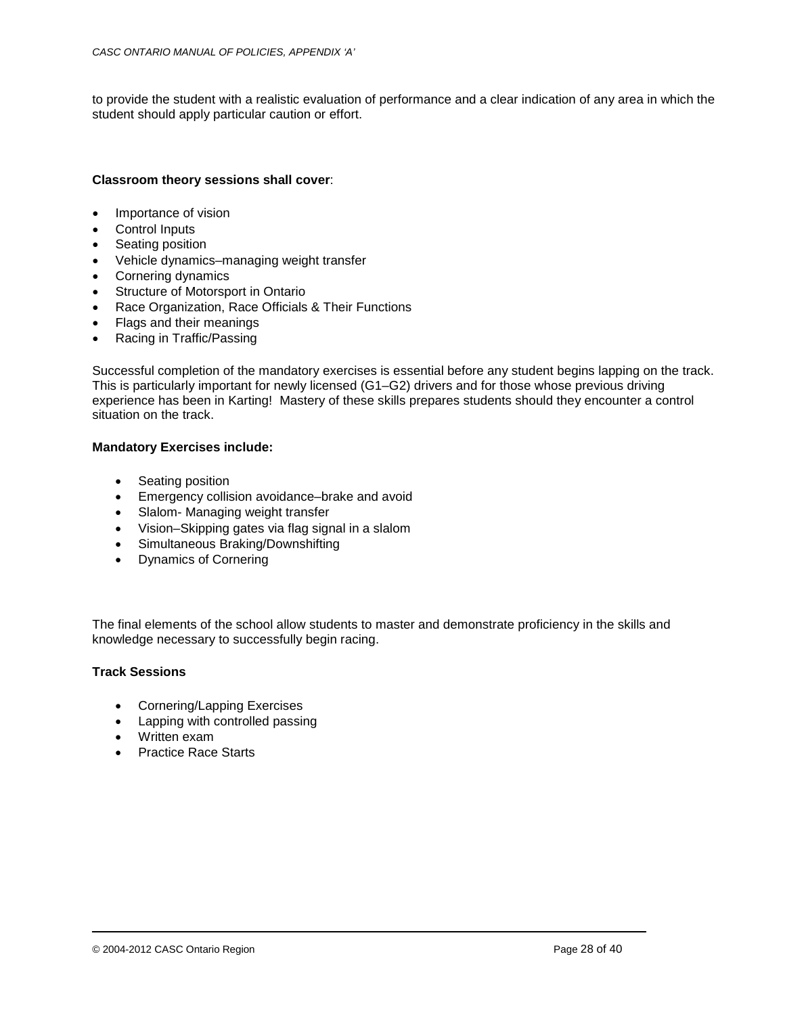to provide the student with a realistic evaluation of performance and a clear indication of any area in which the student should apply particular caution or effort.

## **Classroom theory sessions shall cover**:

- Importance of vision
- Control Inputs
- Seating position
- Vehicle dynamics–managing weight transfer
- Cornering dynamics
- Structure of Motorsport in Ontario
- Race Organization, Race Officials & Their Functions
- Flags and their meanings
- Racing in Traffic/Passing

Successful completion of the mandatory exercises is essential before any student begins lapping on the track. This is particularly important for newly licensed (G1–G2) drivers and for those whose previous driving experience has been in Karting! Mastery of these skills prepares students should they encounter a control situation on the track.

## **Mandatory Exercises include:**

- Seating position
- Emergency collision avoidance–brake and avoid
- Slalom- Managing weight transfer
- Vision–Skipping gates via flag signal in a slalom
- Simultaneous Braking/Downshifting
- Dynamics of Cornering

The final elements of the school allow students to master and demonstrate proficiency in the skills and knowledge necessary to successfully begin racing.

## **Track Sessions**

- Cornering/Lapping Exercises
- Lapping with controlled passing
- Written exam
- Practice Race Starts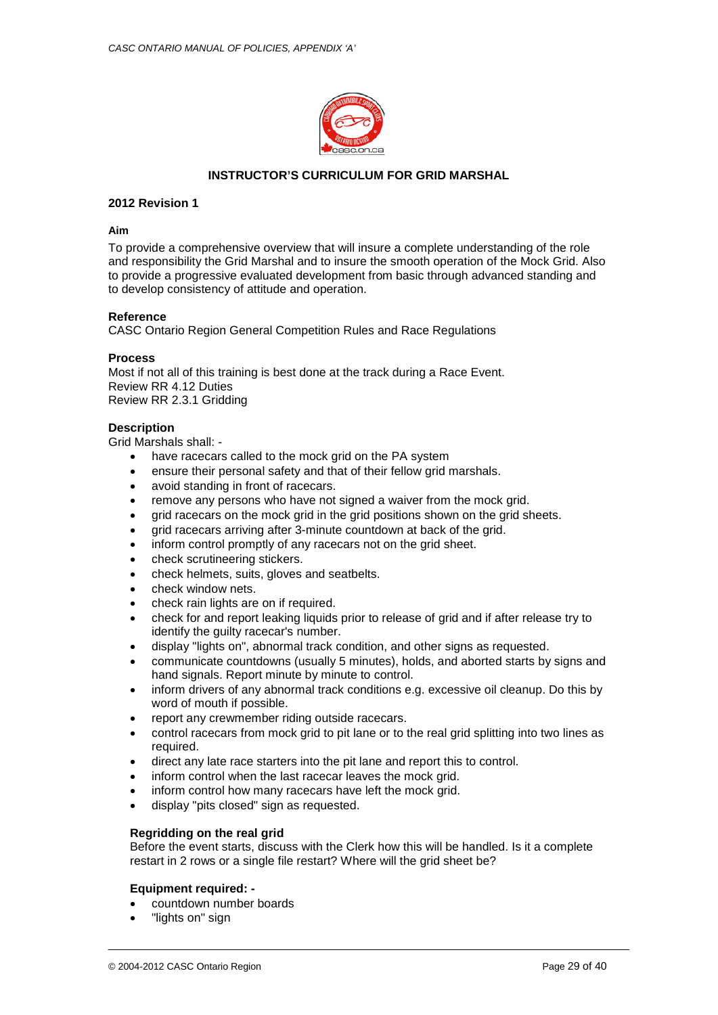

## **INSTRUCTOR'S CURRICULUM FOR GRID MARSHAL**

## **2012 Revision 1**

## **Aim**

To provide a comprehensive overview that will insure a complete understanding of the role and responsibility the Grid Marshal and to insure the smooth operation of the Mock Grid. Also to provide a progressive evaluated development from basic through advanced standing and to develop consistency of attitude and operation.

## **Reference**

CASC Ontario Region General Competition Rules and Race Regulations

#### **Process**

Most if not all of this training is best done at the track during a Race Event. Review RR 4.12 Duties Review RR 2.3.1 Gridding

#### **Description**

Grid Marshals shall: -

- have racecars called to the mock grid on the PA system
- ensure their personal safety and that of their fellow grid marshals.
- avoid standing in front of racecars.
- remove any persons who have not signed a waiver from the mock grid.
- grid racecars on the mock grid in the grid positions shown on the grid sheets.
- grid racecars arriving after 3-minute countdown at back of the grid.
- inform control promptly of any racecars not on the grid sheet.
- check scrutineering stickers.
- check helmets, suits, gloves and seatbelts.
- check window nets.
- check rain lights are on if required.
- check for and report leaking liquids prior to release of grid and if after release try to identify the guilty racecar's number.
- display "lights on", abnormal track condition, and other signs as requested.
- communicate countdowns (usually 5 minutes), holds, and aborted starts by signs and hand signals. Report minute by minute to control.
- inform drivers of any abnormal track conditions e.g. excessive oil cleanup. Do this by word of mouth if possible.
- report any crewmember riding outside racecars.
- control racecars from mock grid to pit lane or to the real grid splitting into two lines as required.
- direct any late race starters into the pit lane and report this to control.
- inform control when the last racecar leaves the mock grid.
- inform control how many racecars have left the mock grid.
- display "pits closed" sign as requested.

## **Regridding on the real grid**

Before the event starts, discuss with the Clerk how this will be handled. Is it a complete restart in 2 rows or a single file restart? Where will the grid sheet be?

#### **Equipment required: -**

- countdown number boards
- "lights on" sign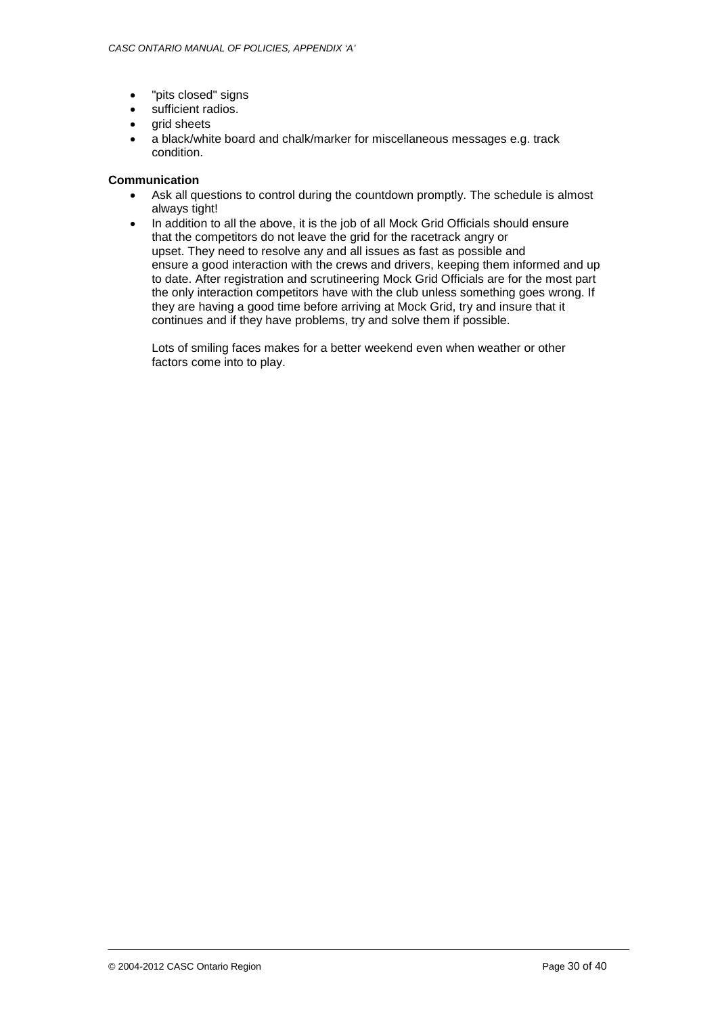- "pits closed" signs
- sufficient radios.
- grid sheets
- a black/white board and chalk/marker for miscellaneous messages e.g. track condition.

## **Communication**

- Ask all questions to control during the countdown promptly. The schedule is almost always tight!
- In addition to all the above, it is the job of all Mock Grid Officials should ensure that the competitors do not leave the grid for the racetrack angry or upset. They need to resolve any and all issues as fast as possible and ensure a good interaction with the crews and drivers, keeping them informed and up to date. After registration and scrutineering Mock Grid Officials are for the most part the only interaction competitors have with the club unless something goes wrong. If they are having a good time before arriving at Mock Grid, try and insure that it continues and if they have problems, try and solve them if possible.

Lots of smiling faces makes for a better weekend even when weather or other factors come into to play.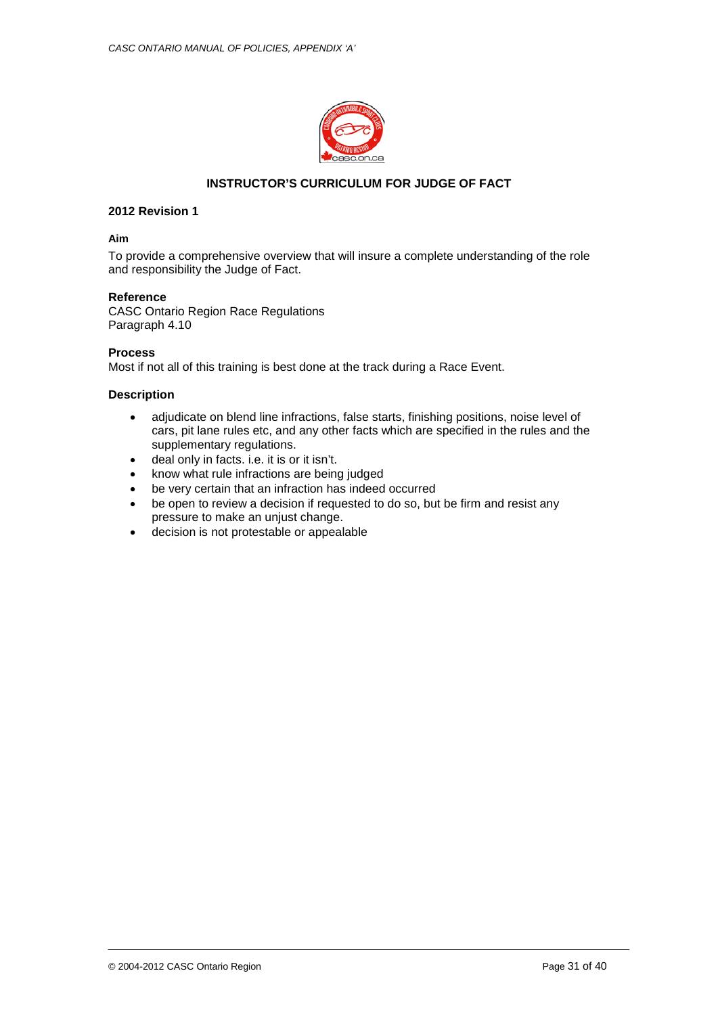

## **INSTRUCTOR'S CURRICULUM FOR JUDGE OF FACT**

## **2012 Revision 1**

#### **Aim**

To provide a comprehensive overview that will insure a complete understanding of the role and responsibility the Judge of Fact.

## **Reference**

CASC Ontario Region Race Regulations Paragraph 4.10

## **Process**

Most if not all of this training is best done at the track during a Race Event.

## **Description**

- adjudicate on blend line infractions, false starts, finishing positions, noise level of cars, pit lane rules etc, and any other facts which are specified in the rules and the supplementary regulations.
- deal only in facts. i.e. it is or it isn't.
- know what rule infractions are being judged
- be very certain that an infraction has indeed occurred
- be open to review a decision if requested to do so, but be firm and resist any pressure to make an unjust change.
- decision is not protestable or appealable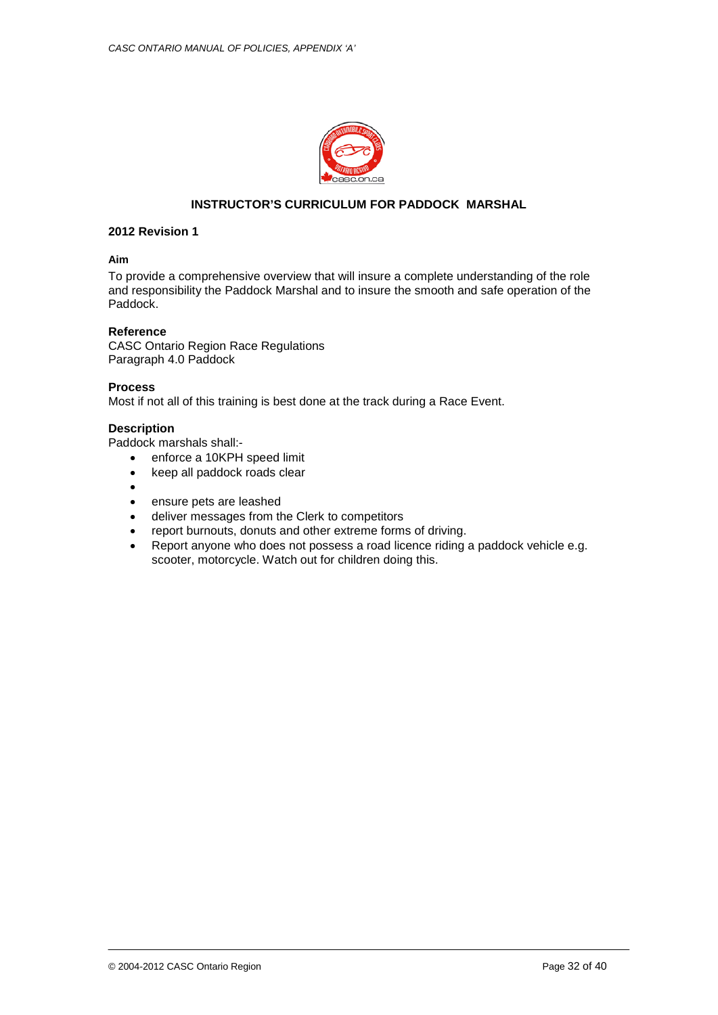

# **INSTRUCTOR'S CURRICULUM FOR PADDOCK MARSHAL**

## **2012 Revision 1**

## **Aim**

To provide a comprehensive overview that will insure a complete understanding of the role and responsibility the Paddock Marshal and to insure the smooth and safe operation of the Paddock.

## **Reference**

CASC Ontario Region Race Regulations Paragraph 4.0 Paddock

## **Process**

Most if not all of this training is best done at the track during a Race Event.

## **Description**

Paddock marshals shall:-

- enforce a 10KPH speed limit
- keep all paddock roads clear
- •
- ensure pets are leashed
- deliver messages from the Clerk to competitors
- report burnouts, donuts and other extreme forms of driving.
- Report anyone who does not possess a road licence riding a paddock vehicle e.g. scooter, motorcycle. Watch out for children doing this.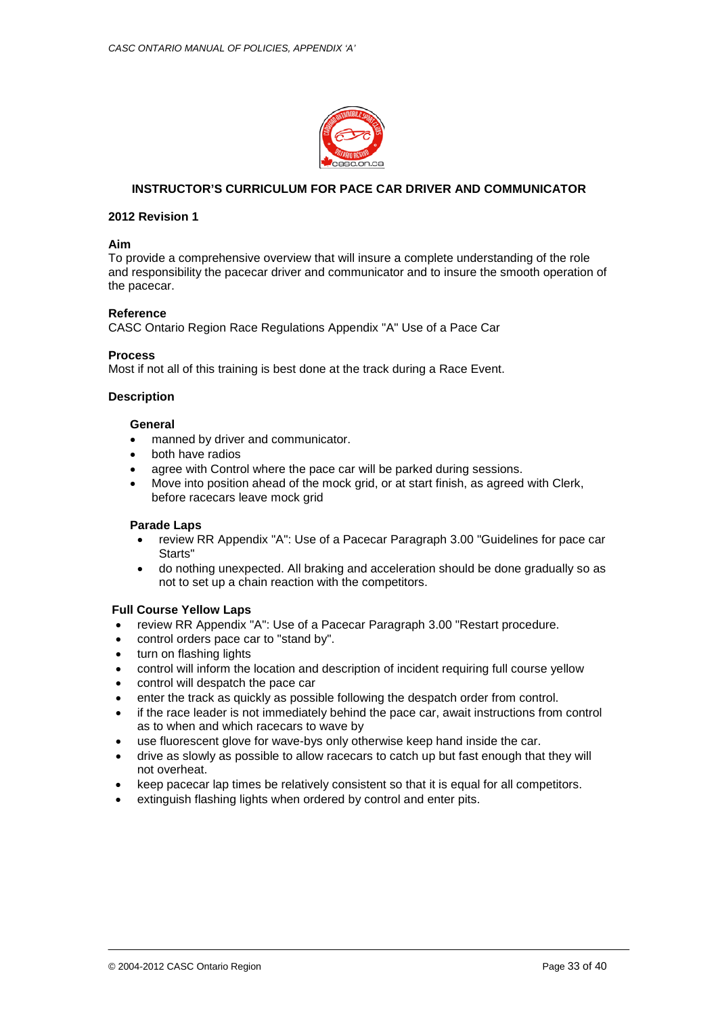

## **INSTRUCTOR'S CURRICULUM FOR PACE CAR DRIVER AND COMMUNICATOR**

## **2012 Revision 1**

#### **Aim**

To provide a comprehensive overview that will insure a complete understanding of the role and responsibility the pacecar driver and communicator and to insure the smooth operation of the pacecar.

## **Reference**

CASC Ontario Region Race Regulations Appendix "A" Use of a Pace Car

#### **Process**

Most if not all of this training is best done at the track during a Race Event.

## **Description**

#### **General**

- manned by driver and communicator.
- both have radios
- agree with Control where the pace car will be parked during sessions.
- Move into position ahead of the mock grid, or at start finish, as agreed with Clerk, before racecars leave mock grid

## **Parade Laps**

- review RR Appendix "A": Use of a Pacecar Paragraph 3.00 "Guidelines for pace car Starts"
- do nothing unexpected. All braking and acceleration should be done gradually so as not to set up a chain reaction with the competitors.

## **Full Course Yellow Laps**

- review RR Appendix "A": Use of a Pacecar Paragraph 3.00 "Restart procedure.
- control orders pace car to "stand by".
- turn on flashing lights
- control will inform the location and description of incident requiring full course yellow
- control will despatch the pace car
- enter the track as quickly as possible following the despatch order from control.
- if the race leader is not immediately behind the pace car, await instructions from control as to when and which racecars to wave by
- use fluorescent glove for wave-bys only otherwise keep hand inside the car.
- drive as slowly as possible to allow racecars to catch up but fast enough that they will not overheat.
- keep pacecar lap times be relatively consistent so that it is equal for all competitors.
- extinguish flashing lights when ordered by control and enter pits.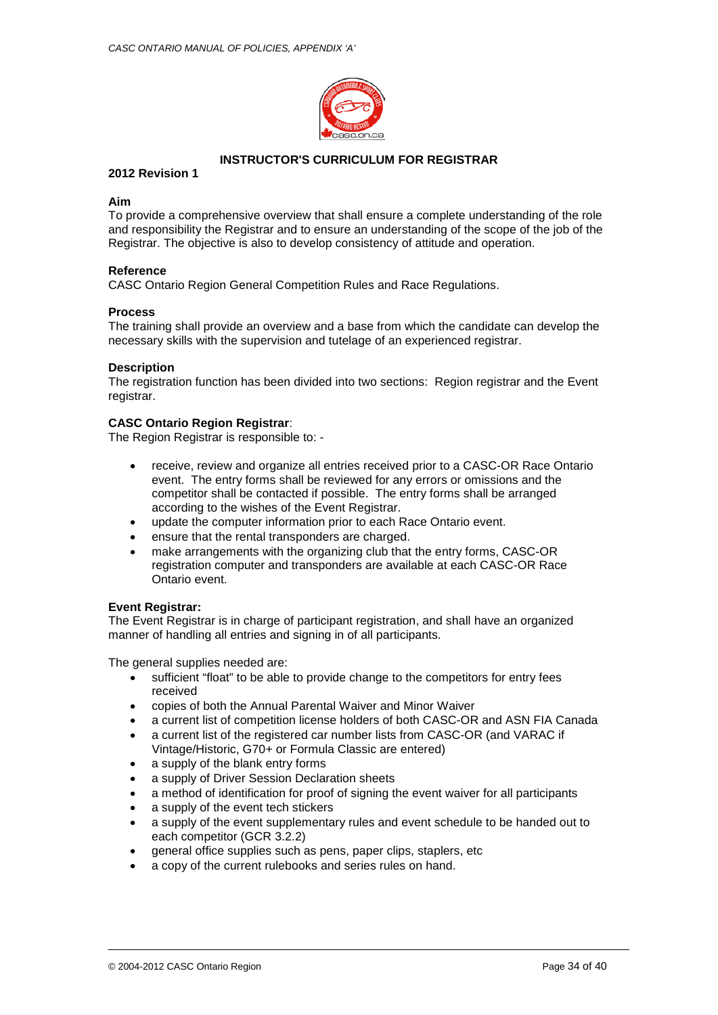

## **INSTRUCTOR'S CURRICULUM FOR REGISTRAR**

## **2012 Revision 1**

## **Aim**

To provide a comprehensive overview that shall ensure a complete understanding of the role and responsibility the Registrar and to ensure an understanding of the scope of the job of the Registrar. The objective is also to develop consistency of attitude and operation.

## **Reference**

CASC Ontario Region General Competition Rules and Race Regulations.

## **Process**

The training shall provide an overview and a base from which the candidate can develop the necessary skills with the supervision and tutelage of an experienced registrar.

## **Description**

The registration function has been divided into two sections: Region registrar and the Event registrar.

## **CASC Ontario Region Registrar**:

The Region Registrar is responsible to: -

- receive, review and organize all entries received prior to a CASC-OR Race Ontario event. The entry forms shall be reviewed for any errors or omissions and the competitor shall be contacted if possible. The entry forms shall be arranged according to the wishes of the Event Registrar.
- update the computer information prior to each Race Ontario event.
- ensure that the rental transponders are charged.
- make arrangements with the organizing club that the entry forms, CASC-OR registration computer and transponders are available at each CASC-OR Race Ontario event.

## **Event Registrar:**

The Event Registrar is in charge of participant registration, and shall have an organized manner of handling all entries and signing in of all participants.

The general supplies needed are:

- sufficient "float" to be able to provide change to the competitors for entry fees received
- copies of both the Annual Parental Waiver and Minor Waiver
- a current list of competition license holders of both CASC-OR and ASN FIA Canada
- a current list of the registered car number lists from CASC-OR (and VARAC if Vintage/Historic, G70+ or Formula Classic are entered)
- a supply of the blank entry forms
- a supply of Driver Session Declaration sheets
- a method of identification for proof of signing the event waiver for all participants
- a supply of the event tech stickers
- a supply of the event supplementary rules and event schedule to be handed out to each competitor (GCR 3.2.2)
- general office supplies such as pens, paper clips, staplers, etc
- a copy of the current rulebooks and series rules on hand.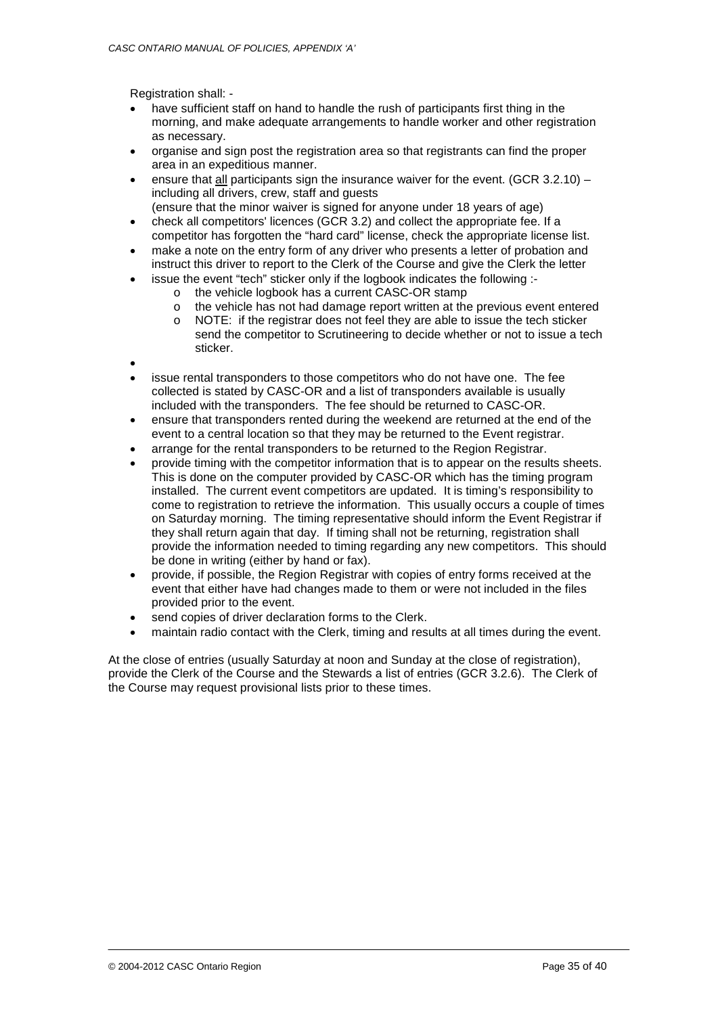Registration shall: -

- have sufficient staff on hand to handle the rush of participants first thing in the morning, and make adequate arrangements to handle worker and other registration as necessary.
- organise and sign post the registration area so that registrants can find the proper area in an expeditious manner.
- ensure that all participants sign the insurance waiver for the event. (GCR  $3.2.10$ ) including all drivers, crew, staff and guests
- (ensure that the minor waiver is signed for anyone under 18 years of age)
- check all competitors' licences (GCR 3.2) and collect the appropriate fee. If a competitor has forgotten the "hard card" license, check the appropriate license list.
- make a note on the entry form of any driver who presents a letter of probation and instruct this driver to report to the Clerk of the Course and give the Clerk the letter
	- issue the event "tech" sticker only if the logbook indicates the following :
		- o the vehicle logbook has a current CASC-OR stamp
		- o the vehicle has not had damage report written at the previous event entered
		- o NOTE: if the registrar does not feel they are able to issue the tech sticker send the competitor to Scrutineering to decide whether or not to issue a tech sticker.
- •
- issue rental transponders to those competitors who do not have one. The fee collected is stated by CASC-OR and a list of transponders available is usually included with the transponders. The fee should be returned to CASC-OR.
- ensure that transponders rented during the weekend are returned at the end of the event to a central location so that they may be returned to the Event registrar.
- arrange for the rental transponders to be returned to the Region Registrar.
- provide timing with the competitor information that is to appear on the results sheets. This is done on the computer provided by CASC-OR which has the timing program installed. The current event competitors are updated. It is timing's responsibility to come to registration to retrieve the information. This usually occurs a couple of times on Saturday morning. The timing representative should inform the Event Registrar if they shall return again that day. If timing shall not be returning, registration shall provide the information needed to timing regarding any new competitors. This should be done in writing (either by hand or fax).
- provide, if possible, the Region Registrar with copies of entry forms received at the event that either have had changes made to them or were not included in the files provided prior to the event.
- send copies of driver declaration forms to the Clerk.
- maintain radio contact with the Clerk, timing and results at all times during the event.

At the close of entries (usually Saturday at noon and Sunday at the close of registration), provide the Clerk of the Course and the Stewards a list of entries (GCR 3.2.6). The Clerk of the Course may request provisional lists prior to these times.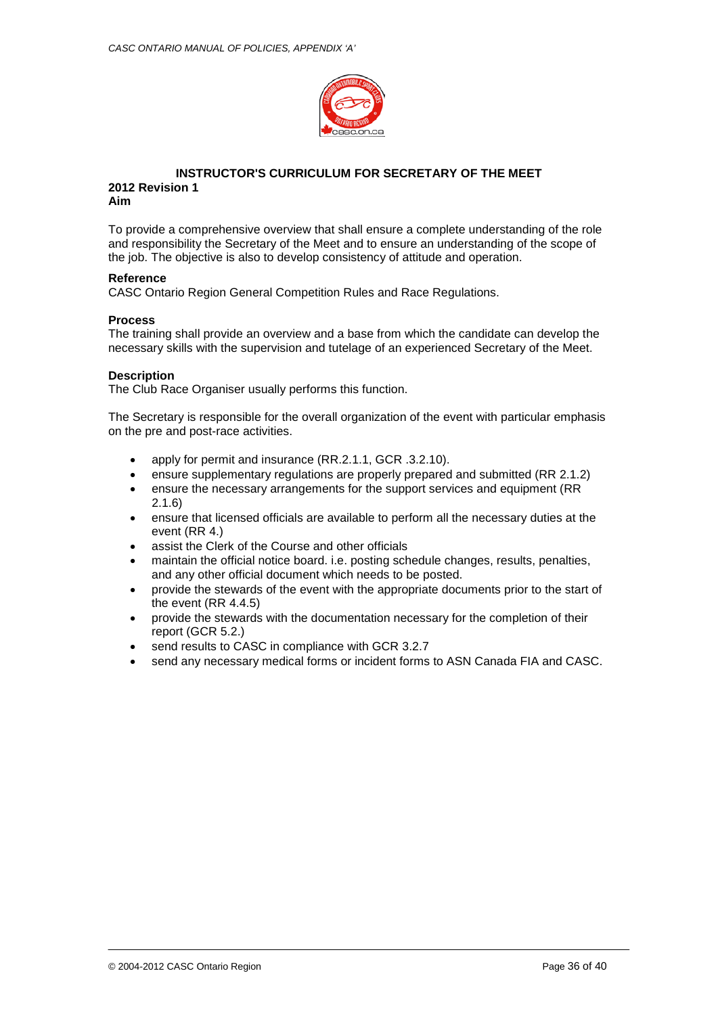

# **INSTRUCTOR'S CURRICULUM FOR SECRETARY OF THE MEET 2012 Revision 1**

To provide a comprehensive overview that shall ensure a complete understanding of the role and responsibility the Secretary of the Meet and to ensure an understanding of the scope of the job. The objective is also to develop consistency of attitude and operation.

## **Reference**

**Aim**

CASC Ontario Region General Competition Rules and Race Regulations.

## **Process**

The training shall provide an overview and a base from which the candidate can develop the necessary skills with the supervision and tutelage of an experienced Secretary of the Meet.

## **Description**

The Club Race Organiser usually performs this function.

The Secretary is responsible for the overall organization of the event with particular emphasis on the pre and post-race activities.

- apply for permit and insurance (RR.2.1.1, GCR .3.2.10).
- ensure supplementary regulations are properly prepared and submitted (RR 2.1.2)
- ensure the necessary arrangements for the support services and equipment (RR 2.1.6)
- ensure that licensed officials are available to perform all the necessary duties at the event (RR 4.)
- assist the Clerk of the Course and other officials
- maintain the official notice board. i.e. posting schedule changes, results, penalties, and any other official document which needs to be posted.
- provide the stewards of the event with the appropriate documents prior to the start of the event (RR 4.4.5)
- provide the stewards with the documentation necessary for the completion of their report (GCR 5.2.)
- send results to CASC in compliance with GCR 3.2.7
- send any necessary medical forms or incident forms to ASN Canada FIA and CASC.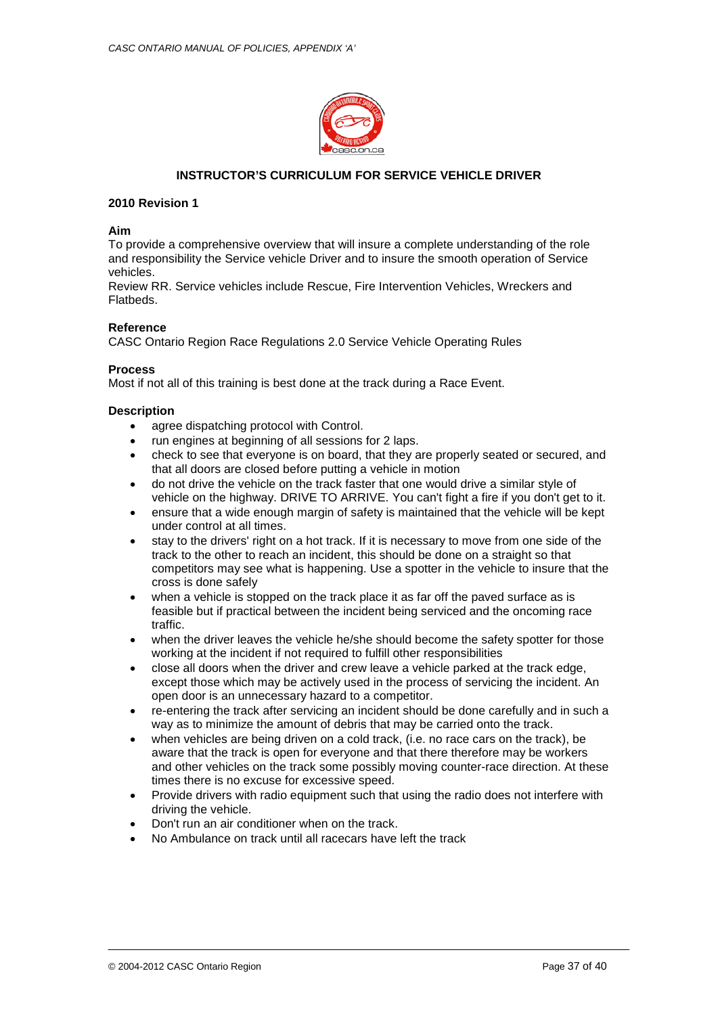

## **INSTRUCTOR'S CURRICULUM FOR SERVICE VEHICLE DRIVER**

## **2010 Revision 1**

## **Aim**

To provide a comprehensive overview that will insure a complete understanding of the role and responsibility the Service vehicle Driver and to insure the smooth operation of Service vehicles.

Review RR. Service vehicles include Rescue, Fire Intervention Vehicles, Wreckers and Flatbeds.

## **Reference**

CASC Ontario Region Race Regulations 2.0 Service Vehicle Operating Rules

## **Process**

Most if not all of this training is best done at the track during a Race Event.

## **Description**

- agree dispatching protocol with Control.
- run engines at beginning of all sessions for 2 laps.
- check to see that everyone is on board, that they are properly seated or secured, and that all doors are closed before putting a vehicle in motion
- do not drive the vehicle on the track faster that one would drive a similar style of vehicle on the highway. DRIVE TO ARRIVE. You can't fight a fire if you don't get to it.
- ensure that a wide enough margin of safety is maintained that the vehicle will be kept under control at all times.
- stay to the drivers' right on a hot track. If it is necessary to move from one side of the track to the other to reach an incident, this should be done on a straight so that competitors may see what is happening. Use a spotter in the vehicle to insure that the cross is done safely
- when a vehicle is stopped on the track place it as far off the paved surface as is feasible but if practical between the incident being serviced and the oncoming race traffic.
- when the driver leaves the vehicle he/she should become the safety spotter for those working at the incident if not required to fulfill other responsibilities
- close all doors when the driver and crew leave a vehicle parked at the track edge, except those which may be actively used in the process of servicing the incident. An open door is an unnecessary hazard to a competitor.
- re-entering the track after servicing an incident should be done carefully and in such a way as to minimize the amount of debris that may be carried onto the track.
- when vehicles are being driven on a cold track, (i.e. no race cars on the track), be aware that the track is open for everyone and that there therefore may be workers and other vehicles on the track some possibly moving counter-race direction. At these times there is no excuse for excessive speed.
- Provide drivers with radio equipment such that using the radio does not interfere with driving the vehicle.
- Don't run an air conditioner when on the track.
- No Ambulance on track until all racecars have left the track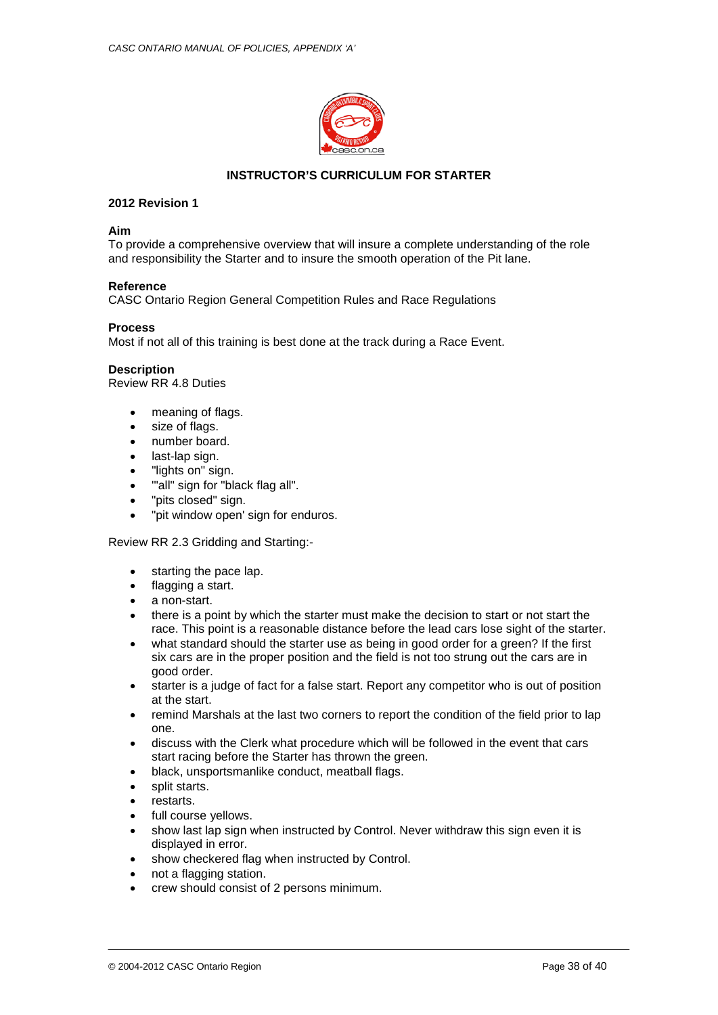

## **INSTRUCTOR'S CURRICULUM FOR STARTER**

## **2012 Revision 1**

## **Aim**

To provide a comprehensive overview that will insure a complete understanding of the role and responsibility the Starter and to insure the smooth operation of the Pit lane.

## **Reference**

CASC Ontario Region General Competition Rules and Race Regulations

## **Process**

Most if not all of this training is best done at the track during a Race Event.

## **Description**

Review RR 4.8 Duties

- meaning of flags.
- size of flags.
- number board.
- last-lap sign.
- "lights on" sign.
- ""all" sign for "black flag all".
- "pits closed" sign.
- "pit window open' sign for enduros.

Review RR 2.3 Gridding and Starting:-

- starting the pace lap.
- flagging a start.
- a non-start.
- there is a point by which the starter must make the decision to start or not start the race. This point is a reasonable distance before the lead cars lose sight of the starter.
- what standard should the starter use as being in good order for a green? If the first six cars are in the proper position and the field is not too strung out the cars are in good order.
- starter is a judge of fact for a false start. Report any competitor who is out of position at the start.
- remind Marshals at the last two corners to report the condition of the field prior to lap one.
- discuss with the Clerk what procedure which will be followed in the event that cars start racing before the Starter has thrown the green.
- black, unsportsmanlike conduct, meatball flags.
- split starts.
- restarts.
- full course yellows.
- show last lap sign when instructed by Control. Never withdraw this sign even it is displayed in error.
- show checkered flag when instructed by Control.
- not a flagging station.
- crew should consist of 2 persons minimum.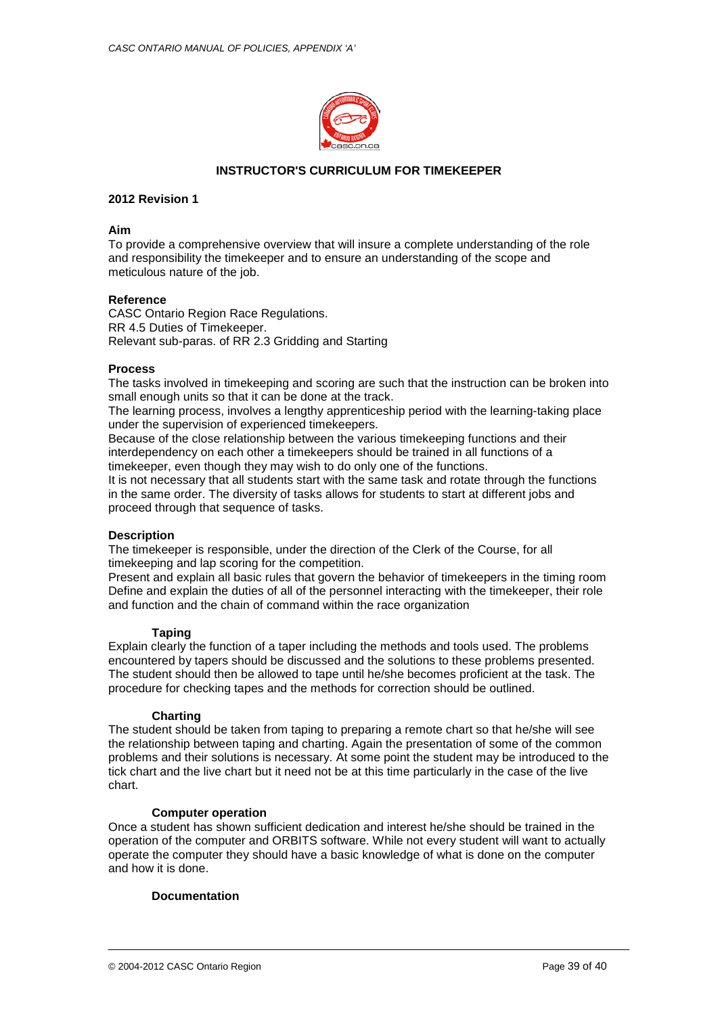

## **INSTRUCTOR'S CURRICULUM FOR TIMEKEEPER**

## **2012 Revision 1**

## **Aim**

To provide a comprehensive overview that will insure a complete understanding of the role and responsibility the timekeeper and to ensure an understanding of the scope and meticulous nature of the job.

## **Reference**

CASC Ontario Region Race Regulations. RR 4.5 Duties of Timekeeper. Relevant sub-paras. of RR 2.3 Gridding and Starting

## **Process**

The tasks involved in timekeeping and scoring are such that the instruction can be broken into small enough units so that it can be done at the track.

The learning process, involves a lengthy apprenticeship period with the learning-taking place under the supervision of experienced timekeepers.

Because of the close relationship between the various timekeeping functions and their interdependency on each other a timekeepers should be trained in all functions of a timekeeper, even though they may wish to do only one of the functions.

It is not necessary that all students start with the same task and rotate through the functions in the same order. The diversity of tasks allows for students to start at different jobs and proceed through that sequence of tasks.

## **Description**

The timekeeper is responsible, under the direction of the Clerk of the Course, for all timekeeping and lap scoring for the competition.

Present and explain all basic rules that govern the behavior of timekeepers in the timing room Define and explain the duties of all of the personnel interacting with the timekeeper, their role and function and the chain of command within the race organization

## **Taping**

Explain clearly the function of a taper including the methods and tools used. The problems encountered by tapers should be discussed and the solutions to these problems presented. The student should then be allowed to tape until he/she becomes proficient at the task. The procedure for checking tapes and the methods for correction should be outlined.

## **Charting**

The student should be taken from taping to preparing a remote chart so that he/she will see the relationship between taping and charting. Again the presentation of some of the common problems and their solutions is necessary. At some point the student may be introduced to the tick chart and the live chart but it need not be at this time particularly in the case of the live chart.

## **Computer operation**

Once a student has shown sufficient dedication and interest he/she should be trained in the operation of the computer and ORBITS software. While not every student will want to actually operate the computer they should have a basic knowledge of what is done on the computer and how it is done.

## **Documentation**

© 2004-2012 CASC Ontario Region Page 39 of 40